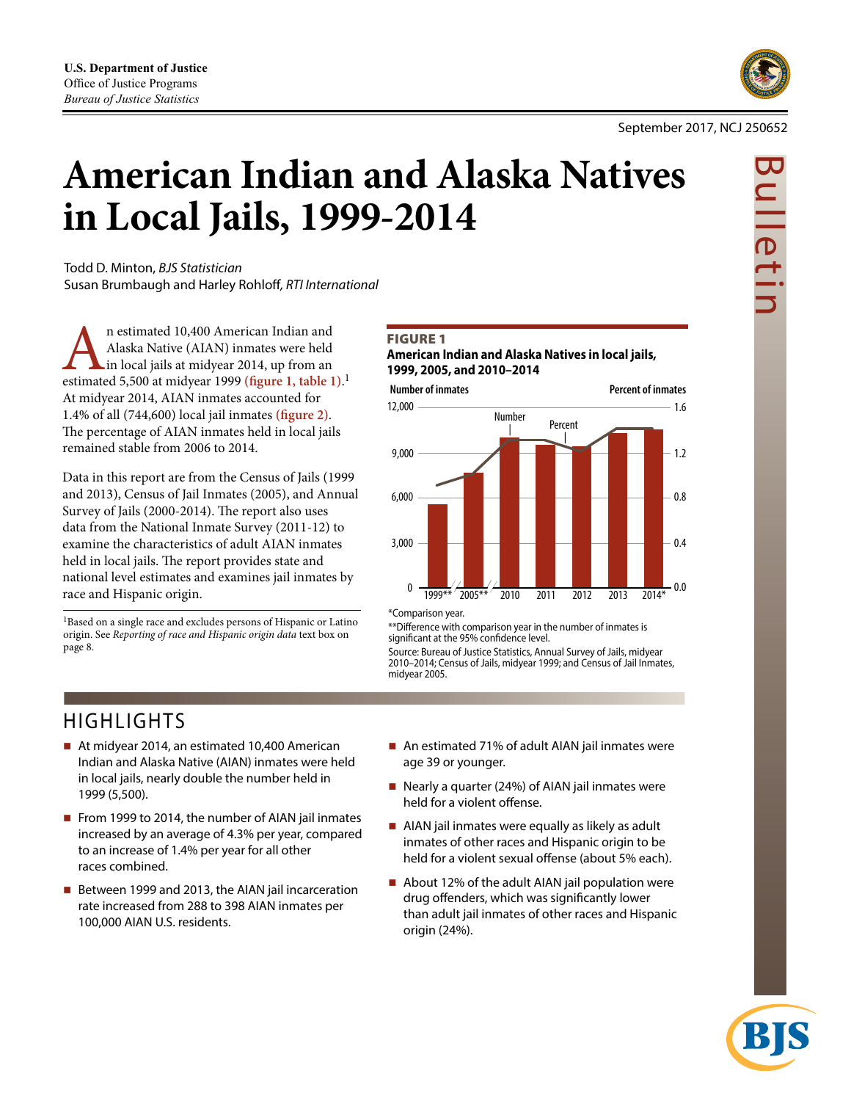

# **American Indian and Alaska Natives in Local Jails, 1999-2014**

Todd D. Minton, *BJS Statistician* Susan Brumbaugh and Harley Rohloff*, RTI International*

n estimated 10,400 American Indian and Alaska Native (AIAN) inmates were held in local jails at midyear 2014, up from an estimated 5,500 at midyear 1999 (figure 1, table 1).<sup>1</sup> Alaska Native (AIAN) inmates were held in local jails at midyear 2014, up from an At midyear 2014, AIAN inmates accounted for 1.4% of all (744,600) local jail inmates **(figure 2)**. The percentage of AIAN inmates held in local jails remained stable from 2006 to 2014.

Data in this report are from the Census of Jails (1999 and 2013), Census of Jail Inmates (2005), and Annual Survey of Jails (2000-2014). The report also uses data from the National Inmate Survey (2011-12) to examine the characteristics of adult AIAN inmates held in local jails. The report provides state and national level estimates and examines jail inmates by race and Hispanic origin.

1Based on a single race and excludes persons of Hispanic or Latino origin. See *Reporting of race and Hispanic origin data* text box on page 8.

# **FIGURE 1**

**American Indian and Alaska Natives in local jails, 1999, 2005, and 2010–2014** 



\*Comparison year.

\*\*Difference with comparison year in the number of inmates is significant at the 95% confidence level.

Source: Bureau of Justice Statistics, Annual Survey of Jails, midyear 2010–2014; Census of Jails, midyear 1999; and Census of Jail Inmates, midyear 2005.

# HIGHLIGHTS

- At midyear 2014, an estimated 10,400 American Indian and Alaska Native (AIAN) inmates were held in local jails, nearly double the number held in 1999 (5,500).
- From 1999 to 2014, the number of AIAN jail inmates increased by an average of 4.3% per year, compared to an increase of 1.4% per year for all other races combined.
- Between 1999 and 2013, the AIAN jail incarceration rate increased from 288 to 398 AIAN inmates per 100,000 AIAN U.S. residents.
- An estimated 71% of adult AIAN jail inmates were age 39 or younger.
- Nearly a quarter (24%) of AIAN jail inmates were held for a violent offense.
- AIAN jail inmates were equally as likely as adult inmates of other races and Hispanic origin to be held for a violent sexual offense (about 5% each).
- $\blacksquare$  About 12% of the adult AIAN jail population were drug offenders, which was significantly lower than adult jail inmates of other races and Hispanic origin (24%).

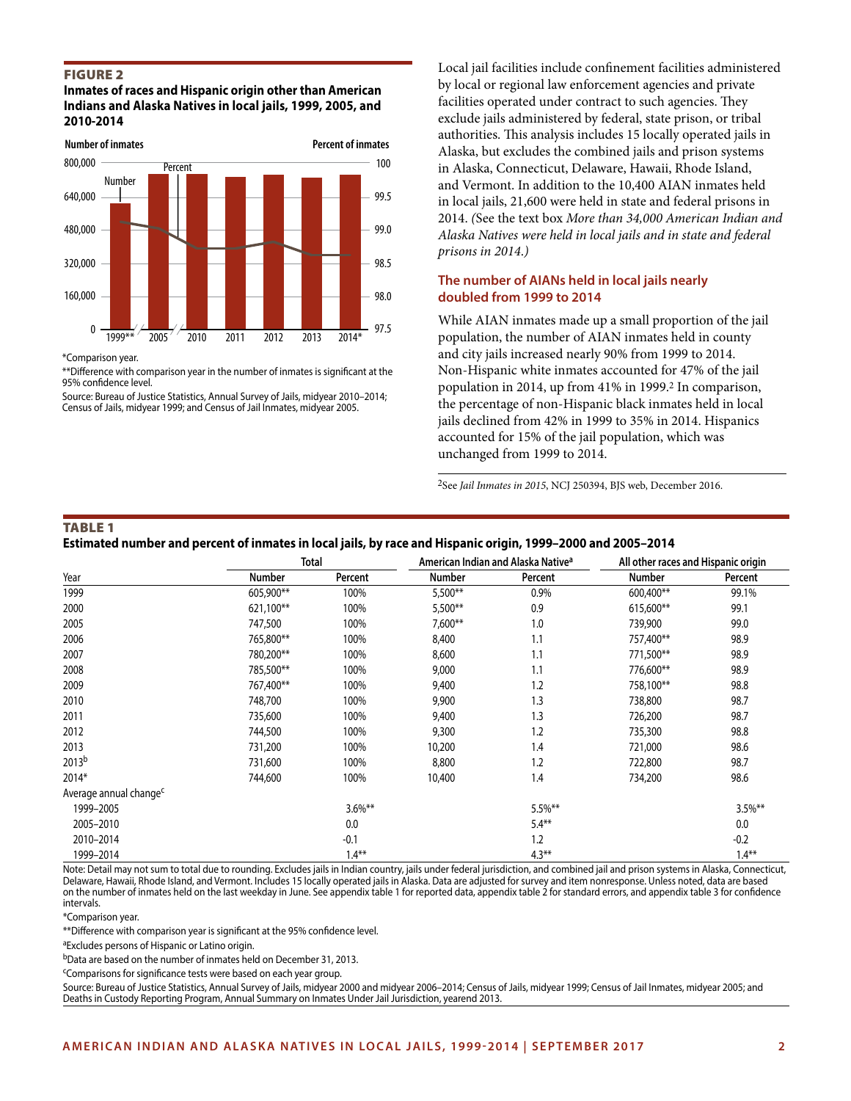#### Figure 2

**Inmates of races and Hispanic origin other than American Indians and Alaska Natives in local jails, 1999, 2005, and 2010-2014**



\*Comparison year.

\*\*Difference with comparison year in the number of inmates is significant at the 95% confidence level.

Source: Bureau of Justice Statistics, Annual Survey of Jails, midyear 2010–2014; Census of Jails, midyear 1999; and Census of Jail Inmates, midyear 2005.

Local jail facilities include confinement facilities administered by local or regional law enforcement agencies and private facilities operated under contract to such agencies. They exclude jails administered by federal, state prison, or tribal authorities. This analysis includes 15 locally operated jails in Alaska, but excludes the combined jails and prison systems in Alaska, Connecticut, Delaware, Hawaii, Rhode Island, and Vermont. In addition to the 10,400 AIAN inmates held in local jails, 21,600 were held in state and federal prisons in 2014. *(*See the text box *More than 34,000 American Indian and Alaska Natives were held in local jails and in state and federal prisons in 2014*.*)*

## **The number of AIANs held in local jails nearly doubled from 1999 to 2014**

While AIAN inmates made up a small proportion of the jail population, the number of AIAN inmates held in county and city jails increased nearly 90% from 1999 to 2014. Non-Hispanic white inmates accounted for 47% of the jail population in 2014, up from 41% in 1999.2 In comparison, the percentage of non-Hispanic black inmates held in local jails declined from 42% in 1999 to 35% in 2014. Hispanics accounted for 15% of the jail population, which was unchanged from 1999 to 2014.

2See *Jail Inmates in 2015*, NCJ 250394, BJS web, December 2016.

#### Table 1

**Estimated number and percent of inmates in local jails, by race and Hispanic origin, 1999–2000 and 2005–2014**

|                                    |               | Total      |           | American Indian and Alaska Native <sup>a</sup> | All other races and Hispanic origin |            |
|------------------------------------|---------------|------------|-----------|------------------------------------------------|-------------------------------------|------------|
| Year                               | <b>Number</b> | Percent    | Number    | Percent                                        | <b>Number</b>                       | Percent    |
| 1999                               | 605,900**     | 100%       | 5,500**   | 0.9%                                           | 600,400**                           | 99.1%      |
| 2000                               | 621,100**     | 100%       | $5,500**$ | 0.9                                            | 615,600**                           | 99.1       |
| 2005                               | 747,500       | 100%       | $7,600**$ | 1.0                                            | 739,900                             | 99.0       |
| 2006                               | 765,800**     | 100%       | 8,400     | 1.1                                            | 757,400**                           | 98.9       |
| 2007                               | 780,200**     | 100%       | 8,600     | 1.1                                            | 771,500**                           | 98.9       |
| 2008                               | 785,500**     | 100%       | 9,000     | 1.1                                            | 776,600**                           | 98.9       |
| 2009                               | 767,400**     | 100%       | 9,400     | 1.2                                            | 758,100**                           | 98.8       |
| 2010                               | 748,700       | 100%       | 9,900     | 1.3                                            | 738,800                             | 98.7       |
| 2011                               | 735,600       | 100%       | 9,400     | 1.3                                            | 726,200                             | 98.7       |
| 2012                               | 744,500       | 100%       | 9,300     | 1.2                                            | 735,300                             | 98.8       |
| 2013                               | 731,200       | 100%       | 10,200    | 1.4                                            | 721,000                             | 98.6       |
| 2013 <sup>b</sup>                  | 731,600       | 100%       | 8,800     | 1.2                                            | 722,800                             | 98.7       |
| 2014*                              | 744,600       | 100%       | 10,400    | 1.4                                            | 734,200                             | 98.6       |
| Average annual change <sup>c</sup> |               |            |           |                                                |                                     |            |
| 1999-2005                          |               | $3.6\%$ ** |           | $5.5%$ **                                      |                                     | $3.5\%$ ** |
| 2005-2010                          |               | 0.0        |           | $5.4**$                                        |                                     | 0.0        |
| 2010-2014                          |               | $-0.1$     |           | 1.2                                            |                                     | $-0.2$     |
| 1999-2014                          |               | $1.4***$   |           | $4.3***$                                       |                                     | $1.4***$   |

Note: Detail may not sum to total due to rounding. Excludes jails in Indian country, jails under federal jurisdiction, and combined jail and prison systems in Alaska, Connecticut, Delaware, Hawaii, Rhode Island, and Vermont. Includes 15 locally operated jails in Alaska. Data are adjusted for survey and item nonresponse. Unless noted, data are based on the number of inmates held on the last weekday in June. See appendix table 1 for reported data, appendix table 2 for standard errors, and appendix table 3 for confidence intervals.

\*Comparison year.

\*\*Difference with comparison year is significant at the 95% confidence level.

<sup>a</sup>Excludes persons of Hispanic or Latino origin.

bData are based on the number of inmates held on December 31, 2013.

cComparisons for significance tests were based on each year group.

Source: Bureau of Justice Statistics, Annual Survey of Jails, midyear 2000 and midyear 2006–2014; Census of Jails, midyear 1999; Census of Jail Inmates, midyear 2005; and Deaths in Custody Reporting Program, Annual Summary on Inmates Under Jail Jurisdiction, yearend 2013.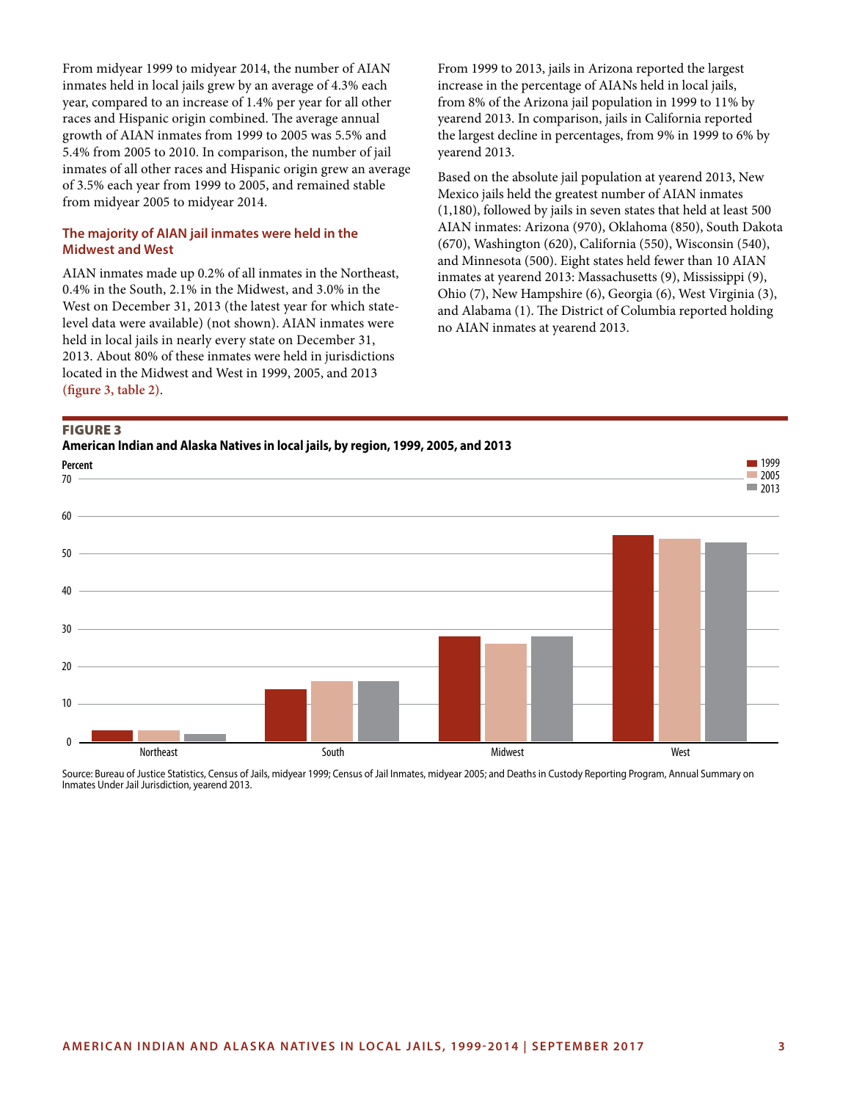From midyear 1999 to midyear 2014, the number of AIAN inmates held in local jails grew by an average of 4.3% each year, compared to an increase of 1.4% per year for all other races and Hispanic origin combined. The average annual growth of AIAN inmates from 1999 to 2005 was 5.5% and 5.4% from 2005 to 2010. In comparison, the number of jail inmates of all other races and Hispanic origin grew an average of 3.5% each year from 1999 to 2005, and remained stable from midyear 2005 to midyear 2014.

### **The majority of AIAN jail inmates were held in the Midwest and West**

AIAN inmates made up 0.2% of all inmates in the Northeast, 0.4% in the South, 2.1% in the Midwest, and 3.0% in the West on December 31, 2013 (the latest year for which statelevel data were available) (not shown). AIAN inmates were held in local jails in nearly every state on December 31, 2013. About 80% of these inmates were held in jurisdictions located in the Midwest and West in 1999, 2005, and 2013 **(figure 3, table 2)**.

From 1999 to 2013, jails in Arizona reported the largest increase in the percentage of AIANs held in local jails, from 8% of the Arizona jail population in 1999 to 11% by yearend 2013. In comparison, jails in California reported the largest decline in percentages, from 9% in 1999 to 6% by yearend 2013.

Based on the absolute jail population at yearend 2013, New Mexico jails held the greatest number of AIAN inmates (1,180), followed by jails in seven states that held at least 500 AIAN inmates: Arizona (970), Oklahoma (850), South Dakota (670), Washington (620), California (550), Wisconsin (540), and Minnesota (500). Eight states held fewer than 10 AIAN inmates at yearend 2013: Massachusetts (9), Mississippi (9), Ohio (7), New Hampshire (6), Georgia (6), West Virginia (3), and Alabama (1). The District of Columbia reported holding no AIAN inmates at yearend 2013.

#### Figure 3

**American Indian and Alaska Natives in local jails, by region, 1999, 2005, and 2013**



Source: Bureau of Justice Statistics, Census of Jails, midyear 1999; Census of Jail Inmates, midyear 2005; and Deaths in Custody Reporting Program, Annual Summary on Inmates Under Jail Jurisdiction, yearend 2013.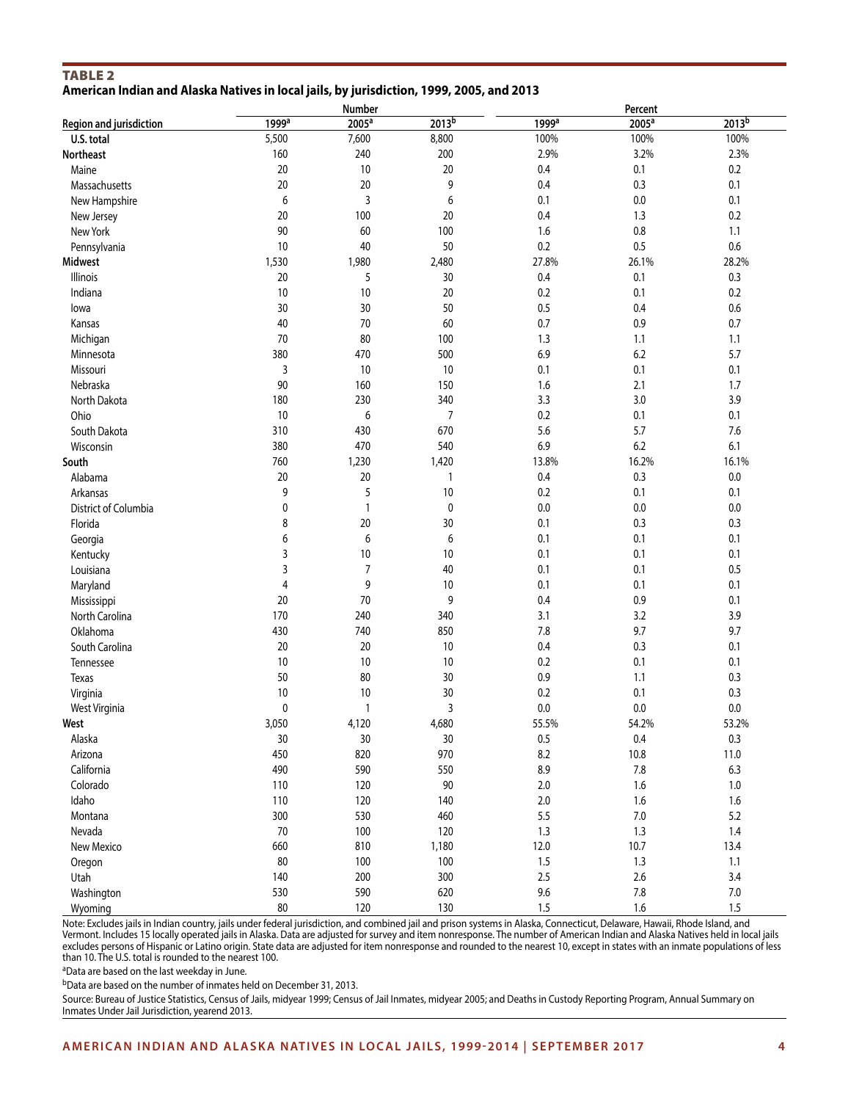# TABLE<sub>2</sub>

### **American Indian and Alaska Natives in local jails, by jurisdiction, 1999, 2005, and 2013**

|                         |                   | Number            |                   |                   | Percent           |                   |
|-------------------------|-------------------|-------------------|-------------------|-------------------|-------------------|-------------------|
| Region and jurisdiction | 1999 <sup>a</sup> | 2005 <sup>a</sup> | 2013 <sup>b</sup> | 1999 <sup>a</sup> | 2005 <sup>a</sup> | 2013 <sup>b</sup> |
| U.S. total              | 5,500             | 7,600             | 8,800             | 100%              | 100%              | 100%              |
| <b>Northeast</b>        | 160               | 240               | 200               | 2.9%              | 3.2%              | 2.3%              |
| Maine                   | $20\,$            | 10                | 20                | 0.4               | 0.1               | $0.2\,$           |
| Massachusetts           | $20\,$            | 20                | 9                 | 0.4               | 0.3               | 0.1               |
| New Hampshire           | 6                 | 3                 | 6                 | 0.1               | $0.0\,$           | 0.1               |
| New Jersey              | $20\,$            | 100               | 20                | 0.4               | 1.3               | 0.2               |
| New York                | 90                | 60                | 100               | 1.6               | 0.8               | 1.1               |
| Pennsylvania            | 10                | 40                | 50                | 0.2               | 0.5               | $0.6\,$           |
| <b>Midwest</b>          | 1,530             | 1,980             | 2,480             | 27.8%             | 26.1%             | 28.2%             |
| Illinois                | 20                | 5                 | 30                | 0.4               | 0.1               | 0.3               |
| Indiana                 | $10$              | 10                | 20                | 0.2               | 0.1               | 0.2               |
| lowa                    | 30                | 30                | 50                | 0.5               | 0.4               | $0.6\,$           |
| Kansas                  | 40                | 70                | 60                | 0.7               | 0.9               | 0.7               |
| Michigan                | 70                | 80                | 100               | 1.3               | 1.1               | 1.1               |
| Minnesota               | 380               | 470               | 500               | 6.9               | 6.2               | 5.7               |
| Missouri                | 3                 | 10                | 10                | 0.1               | 0.1               | 0.1               |
| Nebraska                | 90                | 160               | 150               | 1.6               | 2.1               | 1.7               |
| North Dakota            | 180               | 230               | 340               | 3.3               | 3.0               | 3.9               |
| Ohio                    | $10$              | 6                 | $\overline{7}$    | 0.2               | 0.1               | 0.1               |
| South Dakota            | 310               | 430               | 670               | 5.6               | 5.7               | 7.6               |
| Wisconsin               | 380               | 470               | 540               | 6.9               | 6.2               | 6.1               |
| South                   | 760               | 1,230             | 1,420             | 13.8%             | 16.2%             | 16.1%             |
| Alabama                 | $20\,$            | 20                | 1                 | 0.4               | 0.3               | 0.0               |
| Arkansas                | 9                 | 5                 | 10                | 0.2               | 0.1               | 0.1               |
| District of Columbia    | 0                 | $\mathbf{1}$      | 0                 | 0.0               | $0.0\,$           | $0.0\,$           |
| Florida                 | 8                 | 20                | 30                | 0.1               | 0.3               | 0.3               |
| Georgia                 | 6                 | 6                 | 6                 | 0.1               | 0.1               | 0.1               |
| Kentucky                | 3                 | 10                | 10                | 0.1               | 0.1               | 0.1               |
| Louisiana               | 3                 | $\overline{7}$    | 40                | 0.1               | 0.1               | 0.5               |
| Maryland                | $\overline{4}$    | 9                 | 10                | 0.1               | 0.1               | 0.1               |
| Mississippi             | 20                | 70                | 9                 | 0.4               | 0.9               | 0.1               |
| North Carolina          | 170               | 240               | 340               | 3.1               | 3.2               | 3.9               |
| Oklahoma                | 430               | 740               | 850               | 7.8               | 9.7               | 9.7               |
| South Carolina          | 20                | 20                | 10                | 0.4               | 0.3               | 0.1               |
| Tennessee               | 10                | 10                | 10                | 0.2               | 0.1               | 0.1               |
| Texas                   | 50                | 80                | 30                | 0.9               | 1.1               | 0.3               |
| Virginia                | $10$              | 10                | 30                | 0.2               | 0.1               | 0.3               |
| West Virginia           | 0                 | $\mathbf{1}$      | 3                 | 0.0               | 0.0               | 0.0               |
|                         | 3,050             | 4,120             | 4,680             | 55.5%             | 54.2%             | 53.2%             |
| West<br>Alaska          | $30\,$            | $30\,$            | 30                | $0.5\,$           | $0.4\,$           | $0.3\,$           |
| Arizona                 | 450               | 820               | 970               | 8.2               | 10.8              | $11.0$            |
|                         | 490               | 590               | 550               | 8.9               | $7.8\,$           | 6.3               |
| California              | 110               |                   | $90\,$            | $2.0\,$           | $1.6\,$           | $1.0\,$           |
| Colorado                |                   | 120               | 140               |                   |                   |                   |
| Idaho                   | 110               | 120               |                   | $2.0\,$           | $1.6\,$           | $1.6\,$           |
| Montana                 | 300               | 530               | 460               | 5.5               | $7.0\,$           | 5.2               |
| Nevada                  | 70                | 100               | 120               | 1.3               | 1.3               | $1.4\,$           |
| New Mexico              | 660               | 810               | 1,180             | 12.0              | 10.7              | 13.4              |
| Oregon                  | 80                | 100               | 100               | 1.5               | 1.3               | $1.1$             |
| Utah                    | 140               | 200               | 300               | 2.5               | $2.6\,$           | 3.4               |
| Washington              | 530               | 590               | 620               | $9.6\,$           | $7.8\,$           | $7.0\,$           |
| Wyoming                 | 80                | 120               | 130               | $1.5\,$           | $1.6\,$           | 1.5               |

Note: Excludes jails in Indian country, jails under federal jurisdiction, and combined jail and prison systems in Alaska, Connecticut, Delaware, Hawaii, Rhode Island, and Vermont. Includes 15 locally operated jails in Alaska. Data are adjusted for survey and item nonresponse. The number of American Indian and Alaska Natives held in local jails excludes persons of Hispanic or Latino origin. State data are adjusted for item nonresponse and rounded to the nearest 10, except in states with an inmate populations of less than 10. The U.S. total is rounded to the nearest 100.

aData are based on the last weekday in June.

bData are based on the number of inmates held on December 31, 2013.

Source: Bureau of Justice Statistics, Census of Jails, midyear 1999; Census of Jail Inmates, midyear 2005; and Deaths in Custody Reporting Program, Annual Summary on Inmates Under Jail Jurisdiction, yearend 2013.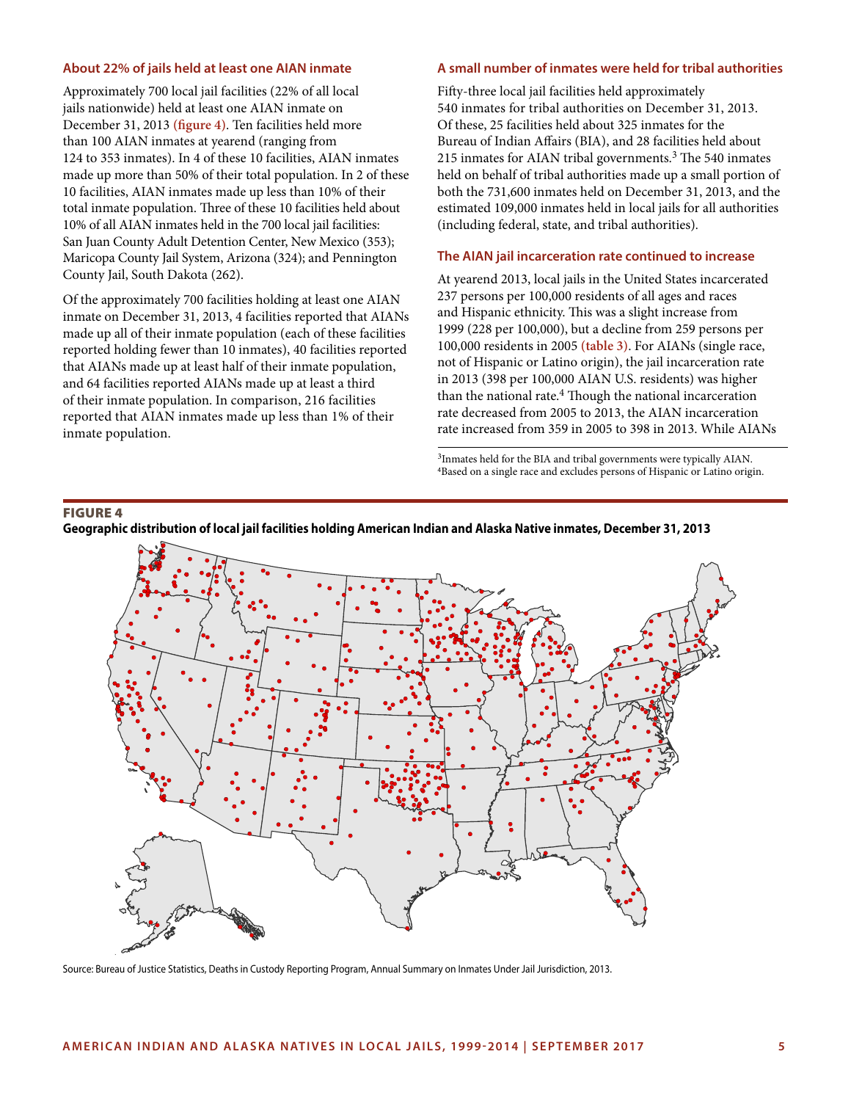#### **About 22% of jails held at least one AIAN inmate**

Approximately 700 local jail facilities (22% of all local jails nationwide) held at least one AIAN inmate on December 31, 2013 **(figure 4)**. Ten facilities held more than 100 AIAN inmates at yearend (ranging from 124 to 353 inmates). In 4 of these 10 facilities, AIAN inmates made up more than 50% of their total population. In 2 of these 10 facilities, AIAN inmates made up less than 10% of their total inmate population. Three of these 10 facilities held about 10% of all AIAN inmates held in the 700 local jail facilities: San Juan County Adult Detention Center, New Mexico (353); Maricopa County Jail System, Arizona (324); and Pennington County Jail, South Dakota (262).

Of the approximately 700 facilities holding at least one AIAN inmate on December 31, 2013, 4 facilities reported that AIANs made up all of their inmate population (each of these facilities reported holding fewer than 10 inmates), 40 facilities reported that AIANs made up at least half of their inmate population, and 64 facilities reported AIANs made up at least a third of their inmate population. In comparison, 216 facilities reported that AIAN inmates made up less than 1% of their inmate population.

# **A small number of inmates were held for tribal authorities**

Fifty-three local jail facilities held approximately 540 inmates for tribal authorities on December 31, 2013. Of these, 25 facilities held about 325 inmates for the Bureau of Indian Affairs (BIA), and 28 facilities held about 215 inmates for AIAN tribal governments.<sup>3</sup> The 540 inmates held on behalf of tribal authorities made up a small portion of both the 731,600 inmates held on December 31, 2013, and the estimated 109,000 inmates held in local jails for all authorities (including federal, state, and tribal authorities).

#### **The AIAN jail incarceration rate continued to increase**

At yearend 2013, local jails in the United States incarcerated 237 persons per 100,000 residents of all ages and races and Hispanic ethnicity. This was a slight increase from 1999 (228 per 100,000), but a decline from 259 persons per 100,000 residents in 2005 **(table 3)**. For AIANs (single race, not of Hispanic or Latino origin), the jail incarceration rate in 2013 (398 per 100,000 AIAN U.S. residents) was higher than the national rate.4 Though the national incarceration rate decreased from 2005 to 2013, the AIAN incarceration rate increased from 359 in 2005 to 398 in 2013. While AIANs

3Inmates held for the BIA and tribal governments were typically AIAN. <sup>4</sup>Based on a single race and excludes persons of Hispanic or Latino origin.

#### Figure 4



**Geographic distribution of local jail facilities holding American Indian and Alaska Native inmates, December 31, 2013**

Source: Bureau of Justice Statistics, Deaths in Custody Reporting Program, Annual Summary on Inmates Under Jail Jurisdiction, 2013.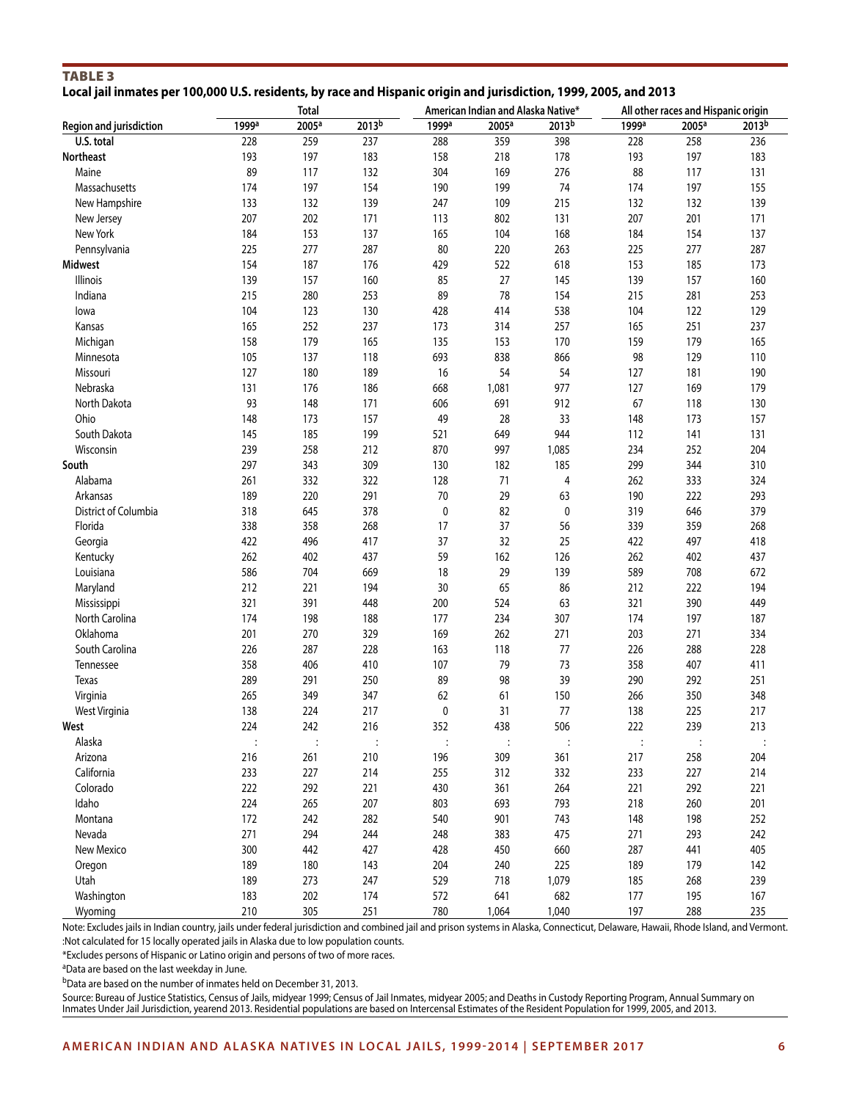# Table 3

|  | Local jail inmates per 100,000 U.S. residents, by race and Hispanic origin and jurisdiction, 1999, 2005, and 2013 |  |  |  |  |
|--|-------------------------------------------------------------------------------------------------------------------|--|--|--|--|
|  |                                                                                                                   |  |  |  |  |

|                         |                   | <b>Total</b>      |                   |                   | American Indian and Alaska Native* |                   |                   | All other races and Hispanic origin |                   |
|-------------------------|-------------------|-------------------|-------------------|-------------------|------------------------------------|-------------------|-------------------|-------------------------------------|-------------------|
| Region and jurisdiction | 1999 <sup>a</sup> | 2005 <sup>a</sup> | 2013 <sup>b</sup> | 1999 <sup>a</sup> | 2005 <sup>a</sup>                  | 2013 <sup>b</sup> | 1999 <sup>a</sup> | 2005 <sup>a</sup>                   | 2013 <sup>b</sup> |
| U.S. total              | 228               | 259               | 237               | 288               | 359                                | 398               | 228               | 258                                 | 236               |
| Northeast               | 193               | 197               | 183               | 158               | 218                                | 178               | 193               | 197                                 | 183               |
| Maine                   | 89                | 117               | 132               | 304               | 169                                | 276               | 88                | 117                                 | 131               |
| Massachusetts           | 174               | 197               | 154               | 190               | 199                                | 74                | 174               | 197                                 | 155               |
| New Hampshire           | 133               | 132               | 139               | 247               | 109                                | 215               | 132               | 132                                 | 139               |
| New Jersey              | 207               | 202               | 171               | 113               | 802                                | 131               | 207               | 201                                 | 171               |
| New York                | 184               | 153               | 137               | 165               | 104                                | 168               | 184               | 154                                 | 137               |
| Pennsylvania            | 225               | 277               | 287               | 80                | 220                                | 263               | 225               | 277                                 | 287               |
| <b>Midwest</b>          | 154               | 187               | 176               | 429               | 522                                | 618               | 153               | 185                                 | 173               |
| Illinois                | 139               | 157               | 160               | 85                | 27                                 | 145               | 139               | 157                                 | 160               |
| Indiana                 | 215               | 280               | 253               | 89                | 78                                 | 154               | 215               | 281                                 | 253               |
| lowa                    | 104               | 123               | 130               | 428               | 414                                | 538               | 104               | 122                                 | 129               |
| Kansas                  | 165               | 252               | 237               | 173               | 314                                | 257               | 165               | 251                                 | 237               |
| Michigan                | 158               | 179               | 165               | 135               | 153                                | 170               | 159               | 179                                 | 165               |
| Minnesota               | 105               | 137               | 118               | 693               | 838                                | 866               | 98                | 129                                 | 110               |
| Missouri                | 127               | 180               | 189               | 16                | 54                                 | 54                | 127               | 181                                 | 190               |
| Nebraska                | 131               | 176               | 186               | 668               | 1,081                              | 977               | 127               | 169                                 | 179               |
| North Dakota            | 93                | 148               | 171               | 606               | 691                                | 912               | 67                | 118                                 | 130               |
| Ohio                    | 148               | 173               | 157               | 49                | 28                                 | 33                | 148               | 173                                 | 157               |
| South Dakota            | 145               | 185               | 199               | 521               | 649                                | 944               | 112               | 141                                 | 131               |
| Wisconsin               | 239               | 258               | 212               | 870               | 997                                | 1,085             | 234               | 252                                 | 204               |
| South                   | 297               | 343               | 309               | 130               | 182                                | 185               | 299               | 344                                 | 310               |
| Alabama                 | 261               | 332               | 322               | 128               | 71                                 | 4                 | 262               | 333                                 | 324               |
| Arkansas                | 189               | 220               | 291               | $70\,$            | 29                                 | 63                | 190               | 222                                 | 293               |
| District of Columbia    | 318               | 645               | 378               | $\mathbf 0$       | 82                                 | $\pmb{0}$         | 319               | 646                                 | 379               |
| Florida                 | 338               | 358               | 268               | 17                | 37                                 | 56                | 339               | 359                                 | 268               |
| Georgia                 | 422               | 496               | 417               | 37                | 32                                 | 25                | 422               | 497                                 | 418               |
| Kentucky                | 262               | 402               | 437               | 59                | 162                                | 126               | 262               | 402                                 | 437               |
| Louisiana               | 586               | 704               | 669               | 18                | 29                                 | 139               | 589               | 708                                 | 672               |
| Maryland                | 212               | 221               | 194               | 30                | 65                                 | 86                | 212               | 222                                 | 194               |
| Mississippi             | 321               | 391               | 448               | 200               | 524                                | 63                | 321               | 390                                 | 449               |
| North Carolina          | 174               | 198               | 188               | 177               | 234                                | 307               | 174               | 197                                 | 187               |
| Oklahoma                | 201               | 270               | 329               | 169               | 262                                | 271               | 203               | 271                                 | 334               |
| South Carolina          | 226               | 287               | 228               | 163               | 118                                | 77                | 226               | 288                                 | 228               |
| Tennessee               | 358               | 406               | 410               | 107               | 79                                 | 73                | 358               | 407                                 | 411               |
| Texas                   | 289               | 291               | 250               | 89                | 98                                 | 39                | 290               | 292                                 | 251               |
| Virginia                | 265               | 349               | 347               | 62                | 61                                 | 150               | 266               | 350                                 | 348               |
| West Virginia           | 138               | 224               | 217               | $\mathbf 0$       | 31                                 | 77                | 138               | 225                                 | 217               |
| West                    | 224               | 242               | 216               | 352               | 438                                | 506               | 222               | 239                                 | 213               |
| Alaska                  | $\vdots$          | $\ddot{\cdot}$    | $\ddot{\cdot}$    |                   | $\ddot{\cdot}$                     |                   | $\ddot{\cdot}$    |                                     |                   |
| Arizona                 | 216               | 261               | 210               | 196               | 309                                | 361               | 217               | 258                                 | 204               |
| California              | 233               | 227               | 214               | 255               | 312                                | 332               | 233               | 227                                 | 214               |
| Colorado                | 222               | 292               | 221               | 430               | 361                                | 264               | 221               | 292                                 | 221               |
| Idaho                   | 224               | 265               | 207               | 803               | 693                                | 793               | 218               | 260                                 | 201               |
| Montana                 | 172               | 242               | 282               | 540               | 901                                | 743               | 148               | 198                                 | 252               |
| Nevada                  | 271               | 294               | 244               | 248               | 383                                | 475               | 271               | 293                                 | 242               |
| New Mexico              | 300               | 442               | 427               | 428               | 450                                | 660               | 287               | 441                                 | 405               |
| Oregon                  | 189               | 180               | 143               | 204               | 240                                | 225               | 189               | 179                                 | 142               |
| Utah                    | 189               | 273               |                   | 529               | 718                                | 1,079             | 185               |                                     | 239               |
| Washington              | 183               |                   | 247               | 572               | 641                                | 682               | 177               | 268                                 |                   |
|                         | 210               | 202<br>305        | 174               |                   |                                    |                   | 197               | 195                                 | 167<br>235        |
| Wyoming                 |                   |                   | 251               | 780               | 1,064                              | 1,040             |                   | 288                                 |                   |

Note: Excludes jails in Indian country, jails under federal jurisdiction and combined jail and prison systems in Alaska, Connecticut, Delaware, Hawaii, Rhode Island, and Vermont. :Not calculated for 15 locally operated jails in Alaska due to low population counts.

\*Excludes persons of Hispanic or Latino origin and persons of two of more races.

aData are based on the last weekday in June.

bData are based on the number of inmates held on December 31, 2013.

Source: Bureau of Justice Statistics, Census of Jails, midyear 1999; Census of Jail Inmates, midyear 2005; and Deaths in Custody Reporting Program, Annual Summary on Inmates Under Jail Jurisdiction, yearend 2013. Residential populations are based on Intercensal Estimates of the Resident Population for 1999, 2005, and 2013.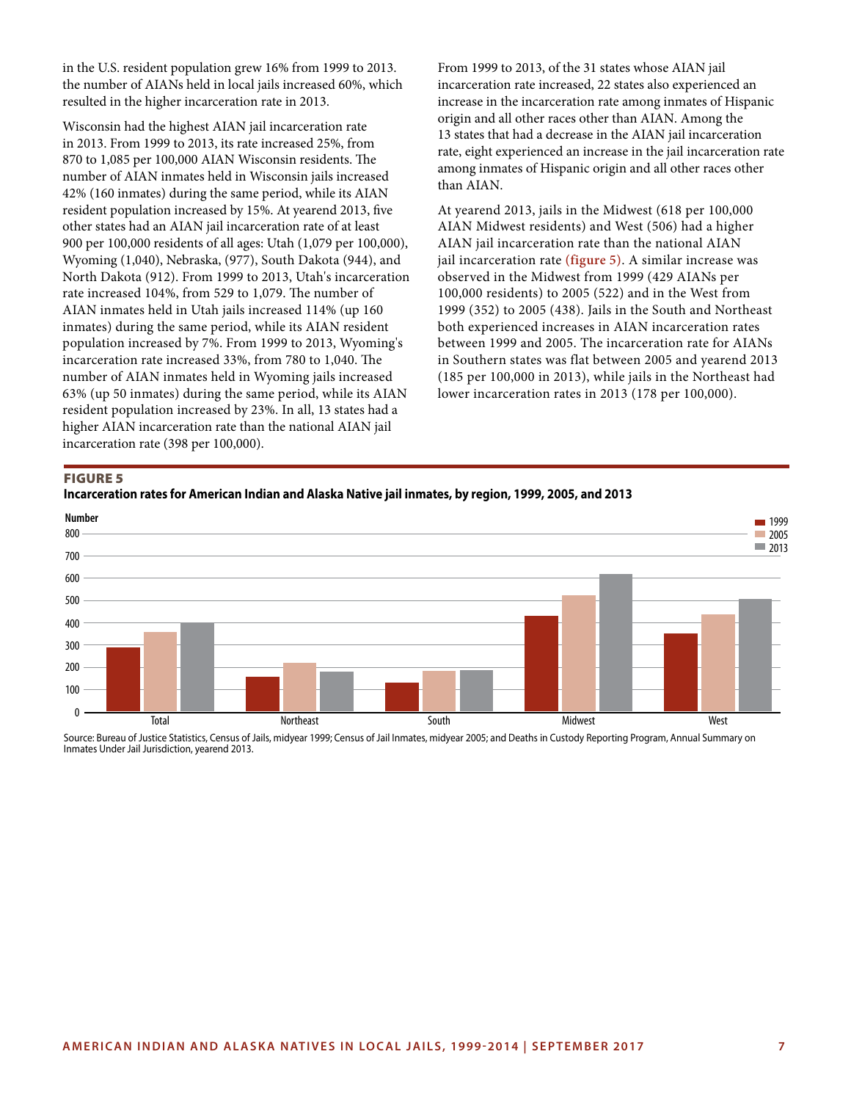in the U.S. resident population grew 16% from 1999 to 2013. the number of AIANs held in local jails increased 60%, which resulted in the higher incarceration rate in 2013.

Wisconsin had the highest AIAN jail incarceration rate in 2013. From 1999 to 2013, its rate increased 25%, from 870 to 1,085 per 100,000 AIAN Wisconsin residents. The number of AIAN inmates held in Wisconsin jails increased 42% (160 inmates) during the same period, while its AIAN resident population increased by 15%. At yearend 2013, five other states had an AIAN jail incarceration rate of at least 900 per 100,000 residents of all ages: Utah (1,079 per 100,000), Wyoming (1,040), Nebraska, (977), South Dakota (944), and North Dakota (912). From 1999 to 2013, Utah's incarceration rate increased 104%, from 529 to 1,079. The number of AIAN inmates held in Utah jails increased 114% (up 160 inmates) during the same period, while its AIAN resident population increased by 7%. From 1999 to 2013, Wyoming's incarceration rate increased 33%, from 780 to 1,040. The number of AIAN inmates held in Wyoming jails increased 63% (up 50 inmates) during the same period, while its AIAN resident population increased by 23%. In all, 13 states had a higher AIAN incarceration rate than the national AIAN jail incarceration rate (398 per 100,000).

From 1999 to 2013, of the 31 states whose AIAN jail incarceration rate increased, 22 states also experienced an increase in the incarceration rate among inmates of Hispanic origin and all other races other than AIAN. Among the 13 states that had a decrease in the AIAN jail incarceration rate, eight experienced an increase in the jail incarceration rate among inmates of Hispanic origin and all other races other than AIAN.

At yearend 2013, jails in the Midwest (618 per 100,000 AIAN Midwest residents) and West (506) had a higher AIAN jail incarceration rate than the national AIAN jail incarceration rate **(figure 5)**. A similar increase was observed in the Midwest from 1999 (429 AIANs per 100,000 residents) to 2005 (522) and in the West from 1999 (352) to 2005 (438). Jails in the South and Northeast both experienced increases in AIAN incarceration rates between 1999 and 2005. The incarceration rate for AIANs in Southern states was flat between 2005 and yearend 2013 (185 per 100,000 in 2013), while jails in the Northeast had lower incarceration rates in 2013 (178 per 100,000).

#### Figure 5





Source: Bureau of Justice Statistics, Census of Jails, midyear 1999; Census of Jail Inmates, midyear 2005; and Deaths in Custody Reporting Program, Annual Summary on Inmates Under Jail Jurisdiction, yearend 2013.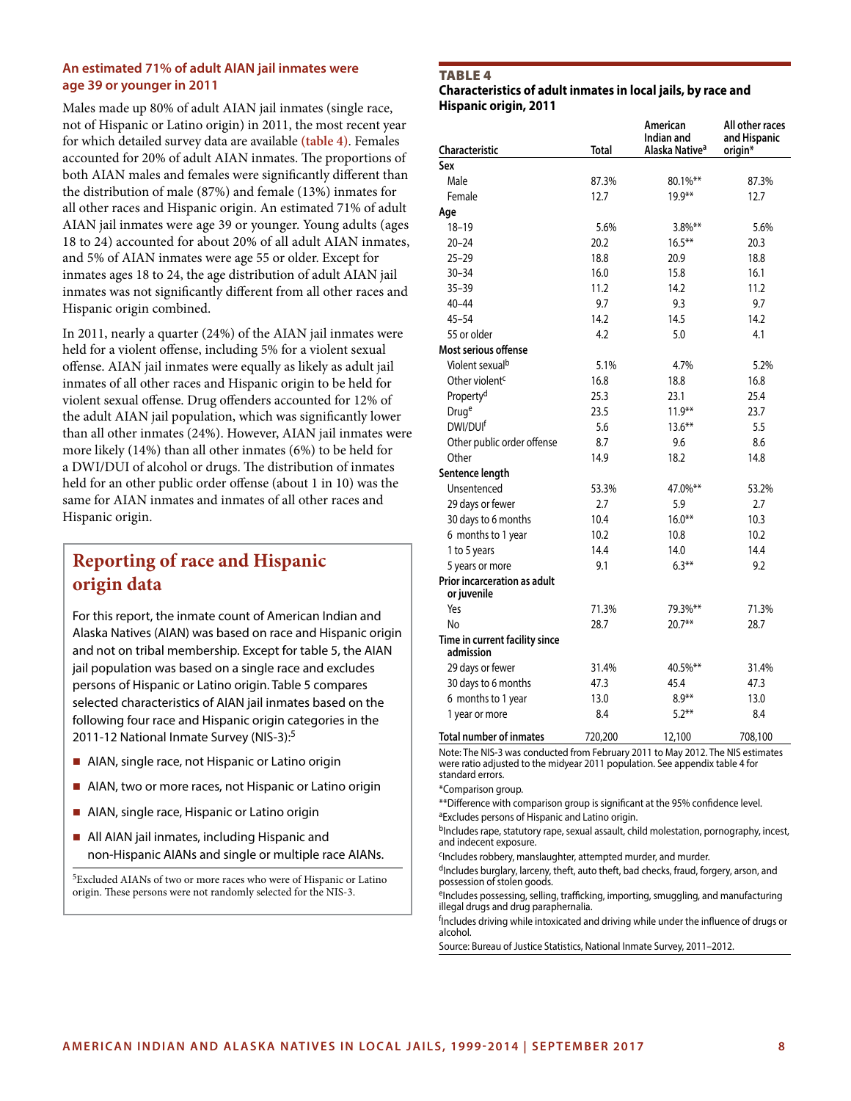## **An estimated 71% of adult AIAN jail inmates were age 39 or younger in 2011**

Males made up 80% of adult AIAN jail inmates (single race, not of Hispanic or Latino origin) in 2011, the most recent year for which detailed survey data are available **(table 4)**. Females accounted for 20% of adult AIAN inmates. The proportions of both AIAN males and females were significantly different than the distribution of male (87%) and female (13%) inmates for all other races and Hispanic origin. An estimated 71% of adult AIAN jail inmates were age 39 or younger. Young adults (ages 18 to 24) accounted for about 20% of all adult AIAN inmates, and 5% of AIAN inmates were age 55 or older. Except for inmates ages 18 to 24, the age distribution of adult AIAN jail inmates was not significantly different from all other races and Hispanic origin combined.

In 2011, nearly a quarter (24%) of the AIAN jail inmates were held for a violent offense, including 5% for a violent sexual offense. AIAN jail inmates were equally as likely as adult jail inmates of all other races and Hispanic origin to be held for violent sexual offense. Drug offenders accounted for 12% of the adult AIAN jail population, which was significantly lower than all other inmates (24%). However, AIAN jail inmates were more likely (14%) than all other inmates (6%) to be held for a DWI/DUI of alcohol or drugs. The distribution of inmates held for an other public order offense (about 1 in 10) was the same for AIAN inmates and inmates of all other races and Hispanic origin.

# **Reporting of race and Hispanic origin data**

For this report, the inmate count of American Indian and Alaska Natives (AIAN) was based on race and Hispanic origin and not on tribal membership. Except for table 5, the AIAN jail population was based on a single race and excludes persons of Hispanic or Latino origin. Table 5 compares selected characteristics of AIAN jail inmates based on the following four race and Hispanic origin categories in the 2011-12 National Inmate Survey (NIS-3):5

- AIAN, single race, not Hispanic or Latino origin
- AIAN, two or more races, not Hispanic or Latino origin
- AIAN, single race, Hispanic or Latino origin
- **All AIAN jail inmates, including Hispanic and** non-Hispanic AIANs and single or multiple race AIANs.

5Excluded AIANs of two or more races who were of Hispanic or Latino origin. These persons were not randomly selected for the NIS-3.

#### TABLE 4

**Characteristics of adult inmates in local jails, by race and Hispanic origin, 2011**

|                                             |         | American<br>Indian and     | All other races<br>and Hispanic |
|---------------------------------------------|---------|----------------------------|---------------------------------|
| <b>Characteristic</b>                       | Total   | Alaska Native <sup>a</sup> | origin*                         |
| Sex                                         |         |                            |                                 |
| Male                                        | 87.3%   | $80.1\%$ **                | 87.3%                           |
| Female                                      | 12.7    | $19.9**$                   | 12.7                            |
| Age                                         |         |                            |                                 |
| $18 - 19$                                   | 5.6%    | $3.8\%$ **                 | 5.6%                            |
| $20 - 24$                                   | 20.2    | $16.5***$                  | 20.3                            |
| $25 - 29$                                   | 18.8    | 20.9                       | 18.8                            |
| $30 - 34$                                   | 16.0    | 15.8                       | 16.1                            |
| $35 - 39$                                   | 11.2    | 14.2                       | 11.2                            |
| $40 - 44$                                   | 9.7     | 9.3                        | 9.7                             |
| $45 - 54$                                   | 14.2    | 14.5                       | 14.2                            |
| 55 or older                                 | 4.2     | 5.0                        | 4.1                             |
| Most serious offense                        |         |                            |                                 |
| Violent sexual <sup>b</sup>                 | 5.1%    | 4.7%                       | 5.2%                            |
| Other violent <sup>c</sup>                  | 16.8    | 18.8                       | 16.8                            |
| Property <sup>d</sup>                       | 25.3    | 23.1                       | 25.4                            |
| Druge                                       | 23.5    | $11.9**$                   | 23.7                            |
| DWI/DUI <sup>f</sup>                        | 5.6     | $13.6***$                  | 5.5                             |
| Other public order offense                  | 8.7     | 9.6                        | 8.6                             |
| Other                                       | 14.9    | 18.2                       | 14.8                            |
| Sentence length                             |         |                            |                                 |
| Unsentenced                                 | 53.3%   | 47.0%**                    | 53.2%                           |
| 29 days or fewer                            | 2.7     | 5.9                        | 2.7                             |
| 30 days to 6 months                         | 10.4    | $16.0**$                   | 10.3                            |
| 6 months to 1 year                          | 10.2    | 10.8                       | 10.2                            |
| 1 to 5 years                                | 14.4    | 14.0                       | 14.4                            |
| 5 years or more                             | 9.1     | $6.3***$                   | 9.2                             |
| <b>Prior incarceration as adult</b>         |         |                            |                                 |
| or juvenile                                 |         |                            |                                 |
| Yes                                         | 71.3%   | 79.3%**                    | 71.3%                           |
| No                                          | 28.7    | $20.7**$                   | 28.7                            |
| Time in current facility since<br>admission |         |                            |                                 |
| 29 days or fewer                            | 31.4%   | 40.5%**                    | 31.4%                           |
| 30 days to 6 months                         | 47.3    | 45.4                       | 47.3                            |
| 6 months to 1 year                          | 13.0    | $8.9**$                    | 13.0                            |
| 1 year or more                              | 8.4     | $5.2***$                   | 8.4                             |
| <b>Total number of inmates</b>              | 720,200 | 12,100                     | 708,100                         |

Note: The NIS-3 was conducted from February 2011 to May 2012. The NIS estimates were ratio adjusted to the midyear 2011 population. See appendix table 4 for standard errors.

\*Comparison group.

\*\*Difference with comparison group is significant at the 95% confidence level. <sup>a</sup>Excludes persons of Hispanic and Latino origin.

bIncludes rape, statutory rape, sexual assault, child molestation, pornography, incest, and indecent exposure.

<sup>c</sup>Includes robbery, manslaughter, attempted murder, and murder.

dIncludes burglary, larceny, theft, auto theft, bad checks, fraud, forgery, arson, and possession of stolen goods.

<sup>e</sup>Includes possessing, selling, trafficking, importing, smuggling, and manufacturing illegal drugs and drug paraphernalia.

<sup>f</sup>Includes driving while intoxicated and driving while under the influence of drugs or alcohol.

Source: Bureau of Justice Statistics, National Inmate Survey, 2011–2012.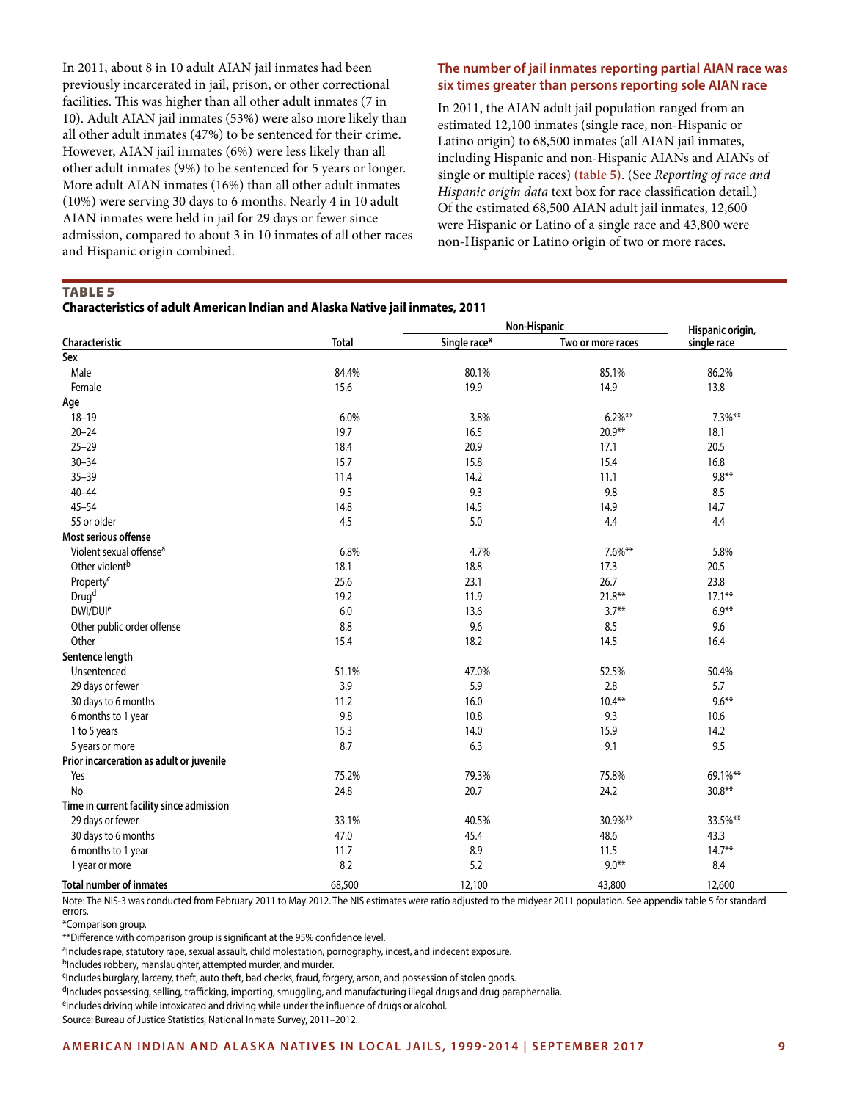In 2011, about 8 in 10 adult AIAN jail inmates had been previously incarcerated in jail, prison, or other correctional facilities. This was higher than all other adult inmates (7 in 10). Adult AIAN jail inmates (53%) were also more likely than all other adult inmates (47%) to be sentenced for their crime. However, AIAN jail inmates (6%) were less likely than all other adult inmates (9%) to be sentenced for 5 years or longer. More adult AIAN inmates (16%) than all other adult inmates (10%) were serving 30 days to 6 months. Nearly 4 in 10 adult AIAN inmates were held in jail for 29 days or fewer since admission, compared to about 3 in 10 inmates of all other races and Hispanic origin combined.

# **The number of jail inmates reporting partial AIAN race was six times greater than persons reporting sole AIAN race**

In 2011, the AIAN adult jail population ranged from an estimated 12,100 inmates (single race, non-Hispanic or Latino origin) to 68,500 inmates (all AIAN jail inmates, including Hispanic and non-Hispanic AIANs and AIANs of single or multiple races) **(table 5)**. (See *Reporting of race and Hispanic origin data* text box for race classification detail.) Of the estimated 68,500 AIAN adult jail inmates, 12,600 were Hispanic or Latino of a single race and 43,800 were non-Hispanic or Latino origin of two or more races.

TABLE 5

**Characteristics of adult American Indian and Alaska Native jail inmates, 2011**

|                                          |              |              | Non-Hispanic      | Hispanic origin, |  |
|------------------------------------------|--------------|--------------|-------------------|------------------|--|
| Characteristic                           | <b>Total</b> | Single race* | Two or more races | single race      |  |
| Sex                                      |              |              |                   |                  |  |
| Male                                     | 84.4%        | 80.1%        | 85.1%             | 86.2%            |  |
| Female                                   | 15.6         | 19.9         | 14.9              | 13.8             |  |
| Age                                      |              |              |                   |                  |  |
| $18 - 19$                                | 6.0%         | 3.8%         | $6.2\%$ **        | $7.3\%**$        |  |
| $20 - 24$                                | 19.7         | 16.5         | $20.9**$          | 18.1             |  |
| $25 - 29$                                | 18.4         | 20.9         | 17.1              | 20.5             |  |
| $30 - 34$                                | 15.7         | 15.8         | 15.4              | 16.8             |  |
| $35 - 39$                                | 11.4         | 14.2         | 11.1              | $9.8**$          |  |
| $40 - 44$                                | 9.5          | 9.3          | 9.8               | 8.5              |  |
| $45 - 54$                                | 14.8         | 14.5         | 14.9              | 14.7             |  |
| 55 or older                              | 4.5          | 5.0          | 4.4               | 4.4              |  |
| Most serious offense                     |              |              |                   |                  |  |
| Violent sexual offense <sup>a</sup>      | 6.8%         | 4.7%         | $7.6\%**$         | 5.8%             |  |
| Other violent <sup>b</sup>               | 18.1         | 18.8         | 17.3              | 20.5             |  |
| Property <sup>c</sup>                    | 25.6         | 23.1         | 26.7              | 23.8             |  |
| Drug <sup>d</sup>                        | 19.2         | 11.9         | $21.8**$          | $17.1***$        |  |
| DWI/DUI <sup>e</sup>                     | 6.0          | 13.6         | $3.7***$          | $6.9**$          |  |
| Other public order offense               | 8.8          | 9.6          | 8.5               | 9.6              |  |
| Other                                    | 15.4         | 18.2         | 14.5              | 16.4             |  |
| Sentence length                          |              |              |                   |                  |  |
| Unsentenced                              | 51.1%        | 47.0%        | 52.5%             | 50.4%            |  |
| 29 days or fewer                         | 3.9          | 5.9          | 2.8               | 5.7              |  |
| 30 days to 6 months                      | 11.2         | 16.0         | $10.4**$          | $9.6***$         |  |
| 6 months to 1 year                       | 9.8          | 10.8         | 9.3               | 10.6             |  |
| 1 to 5 years                             | 15.3         | 14.0         | 15.9              | 14.2             |  |
| 5 years or more                          | 8.7          | 6.3          | 9.1               | 9.5              |  |
| Prior incarceration as adult or juvenile |              |              |                   |                  |  |
| Yes                                      | 75.2%        | 79.3%        | 75.8%             | 69.1%**          |  |
| No                                       | 24.8         | 20.7         | 24.2              | $30.8**$         |  |
| Time in current facility since admission |              |              |                   |                  |  |
| 29 days or fewer                         | 33.1%        | 40.5%        | 30.9%**           | 33.5%**          |  |
| 30 days to 6 months                      | 47.0         | 45.4         | 48.6              | 43.3             |  |
| 6 months to 1 year                       | 11.7         | 8.9          | 11.5              | $14.7**$         |  |
| 1 year or more                           | 8.2          | 5.2          | $9.0***$          | 8.4              |  |
| <b>Total number of inmates</b>           | 68,500       | 12,100       | 43,800            | 12,600           |  |

Note: The NIS-3 was conducted from February 2011 to May 2012. The NIS estimates were ratio adjusted to the midyear 2011 population. See appendix table 5 for standard errors.

\*Comparison group.

\*\*Difference with comparison group is significant at the 95% confidence level.

aIncludes rape, statutory rape, sexual assault, child molestation, pornography, incest, and indecent exposure.

bIncludes robbery, manslaughter, attempted murder, and murder.

<sup>c</sup>Includes burglary, larceny, theft, auto theft, bad checks, fraud, forgery, arson, and possession of stolen goods.

dIncludes possessing, selling, trafficking, importing, smuggling, and manufacturing illegal drugs and drug paraphernalia.

eIncludes driving while intoxicated and driving while under the influence of drugs or alcohol.

Source: Bureau of Justice Statistics, National Inmate Survey, 2011–2012.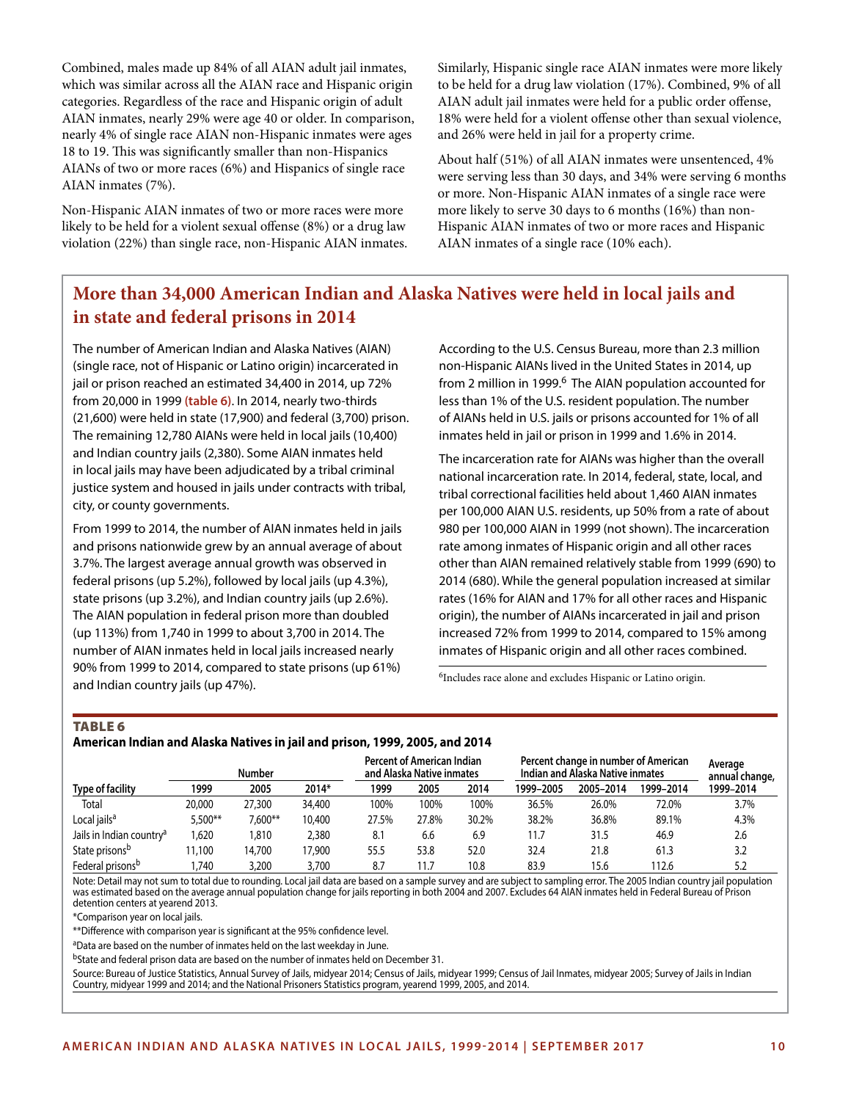Combined, males made up 84% of all AIAN adult jail inmates, which was similar across all the AIAN race and Hispanic origin categories. Regardless of the race and Hispanic origin of adult AIAN inmates, nearly 29% were age 40 or older. In comparison, nearly 4% of single race AIAN non-Hispanic inmates were ages 18 to 19. This was significantly smaller than non-Hispanics AIANs of two or more races (6%) and Hispanics of single race AIAN inmates (7%).

Non-Hispanic AIAN inmates of two or more races were more likely to be held for a violent sexual offense (8%) or a drug law violation (22%) than single race, non-Hispanic AIAN inmates. Similarly, Hispanic single race AIAN inmates were more likely to be held for a drug law violation (17%). Combined, 9% of all AIAN adult jail inmates were held for a public order offense, 18% were held for a violent offense other than sexual violence, and 26% were held in jail for a property crime.

About half (51%) of all AIAN inmates were unsentenced, 4% were serving less than 30 days, and 34% were serving 6 months or more. Non-Hispanic AIAN inmates of a single race were more likely to serve 30 days to 6 months (16%) than non-Hispanic AIAN inmates of two or more races and Hispanic AIAN inmates of a single race (10% each).

# **More than 34,000 American Indian and Alaska Natives were held in local jails and in state and federal prisons in 2014**

The number of American Indian and Alaska Natives (AIAN) (single race, not of Hispanic or Latino origin) incarcerated in jail or prison reached an estimated 34,400 in 2014, up 72% from 20,000 in 1999 **(table 6)**. In 2014, nearly two-thirds (21,600) were held in state (17,900) and federal (3,700) prison. The remaining 12,780 AIANs were held in local jails (10,400) and Indian country jails (2,380). Some AIAN inmates held in local jails may have been adjudicated by a tribal criminal justice system and housed in jails under contracts with tribal, city, or county governments.

From 1999 to 2014, the number of AIAN inmates held in jails and prisons nationwide grew by an annual average of about 3.7%. The largest average annual growth was observed in federal prisons (up 5.2%), followed by local jails (up 4.3%), state prisons (up 3.2%), and Indian country jails (up 2.6%). The AIAN population in federal prison more than doubled (up 113%) from 1,740 in 1999 to about 3,700 in 2014. The number of AIAN inmates held in local jails increased nearly 90% from 1999 to 2014, compared to state prisons (up 61%) and Indian country jails (up 47%).

According to the U.S. Census Bureau, more than 2.3 million non-Hispanic AIANs lived in the United States in 2014, up from 2 million in 1999.<sup>6</sup> The AIAN population accounted for less than 1% of the U.S. resident population. The number of AIANs held in U.S. jails or prisons accounted for 1% of all inmates held in jail or prison in 1999 and 1.6% in 2014.

The incarceration rate for AIANs was higher than the overall national incarceration rate. In 2014, federal, state, local, and tribal correctional facilities held about 1,460 AIAN inmates per 100,000 AIAN U.S. residents, up 50% from a rate of about 980 per 100,000 AIAN in 1999 (not shown). The incarceration rate among inmates of Hispanic origin and all other races other than AIAN remained relatively stable from 1999 (690) to 2014 (680). While the general population increased at similar rates (16% for AIAN and 17% for all other races and Hispanic origin), the number of AIANs incarcerated in jail and prison increased 72% from 1999 to 2014, compared to 15% among inmates of Hispanic origin and all other races combined.

<sup>6</sup>Includes race alone and excludes Hispanic or Latino origin.

# TABLE 6

#### **American Indian and Alaska Natives in jail and prison, 1999, 2005, and 2014**

|                                      |         | Number    |        |       | <b>Percent of American Indian</b><br>and Alaska Native inmates |       | Percent change in number of American<br>Indian and Alaska Native inmates |           |           | Average<br>annual change, |  |
|--------------------------------------|---------|-----------|--------|-------|----------------------------------------------------------------|-------|--------------------------------------------------------------------------|-----------|-----------|---------------------------|--|
| Type of facility                     | 1999    | 2005      | 2014*  | 1999  | 2005                                                           | 2014  | 1999-2005                                                                | 2005-2014 | 1999-2014 | 1999-2014                 |  |
| Total                                | 20,000  | 27,300    | 34,400 | 100%  | 100%                                                           | 100%  | 36.5%                                                                    | 26.0%     | 72.0%     | 3.7%                      |  |
| Local jails <sup>a</sup>             | 5.500** | $7.600**$ | 10,400 | 27.5% | 27.8%                                                          | 30.2% | 38.2%                                                                    | 36.8%     | 89.1%     | 4.3%                      |  |
| Jails in Indian country <sup>a</sup> | .620    | 1.810     | 2,380  | 8.1   | 6.6                                                            | 6.9   | 11.7                                                                     | 31.5      | 46.9      | 2.6                       |  |
| State prisons <sup>b</sup>           | 11,100  | 14,700    | 17,900 | 55.5  | 53.8                                                           | 52.0  | 32.4                                                                     | 21.8      | 61.3      | 3.2                       |  |
| Federal prisons <sup>b</sup>         | .740    | 3,200     | 3,700  | 8.7   | 11.7                                                           | 10.8  | 83.9                                                                     | 15.6      | 112.6     | 5.2                       |  |

Note: Detail may not sum to total due to rounding. Local jail data are based on a sample survey and are subject to sampling error. The 2005 Indian country jail population was estimated based on the average annual population change for jails reporting in both 2004 and 2007. Excludes 64 AIAN inmates held in Federal Bureau of Prison detention centers at yearend 2013.

\*Comparison year on local jails.

\*\*Difference with comparison year is significant at the 95% confidence level.

aData are based on the number of inmates held on the last weekday in June.

bState and federal prison data are based on the number of inmates held on December 31.

Source: Bureau of Justice Statistics, Annual Survey of Jails, midyear 2014; Census of Jails, midyear 1999; Census of Jail Inmates, midyear 2005; Survey of Jails in Indian Country, midyear 1999 and 2014; and the National Prisoners Statistics program, yearend 1999, 2005, and 2014.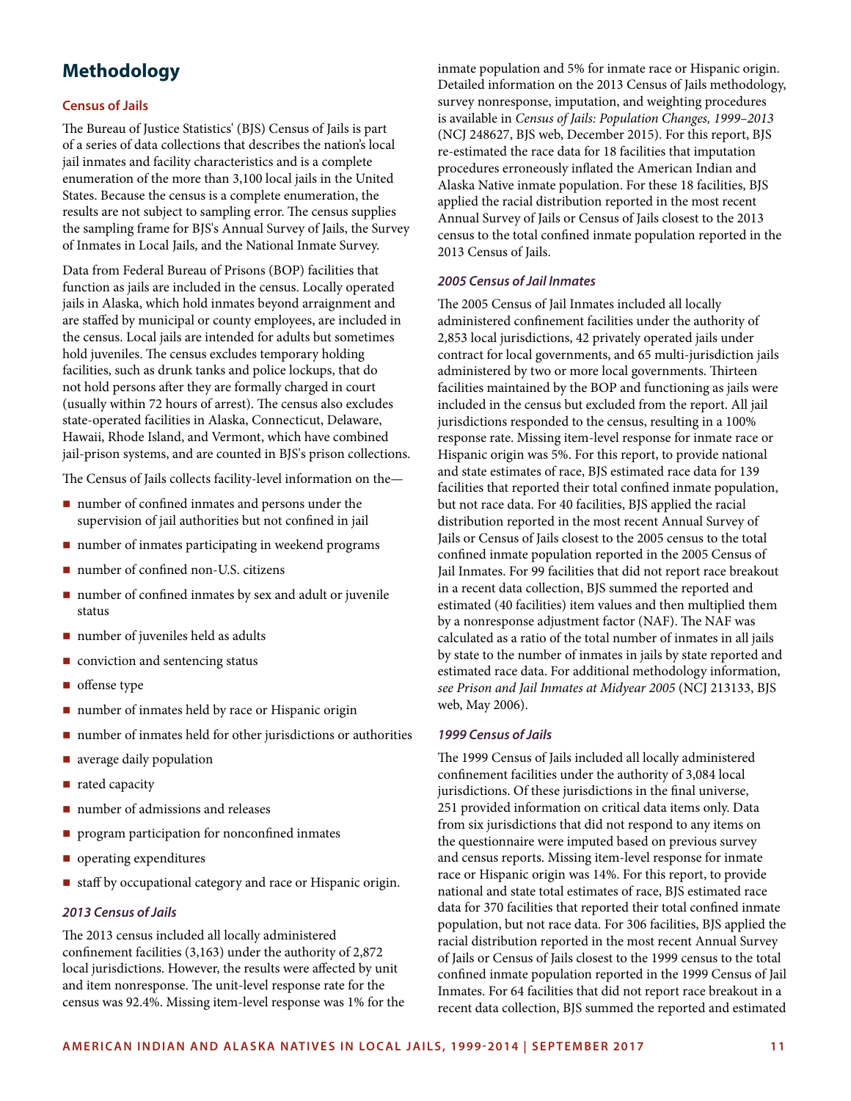# **Methodology**

## **Census of Jails**

The Bureau of Justice Statistics' (BJS) Census of Jails is part of a series of data collections that describes the nation's local jail inmates and facility characteristics and is a complete enumeration of the more than 3,100 local jails in the United States. Because the census is a complete enumeration, the results are not subject to sampling error. The census supplies the sampling frame for BJS's Annual Survey of Jails, the Survey of Inmates in Local Jails, and the National Inmate Survey.

Data from Federal Bureau of Prisons (BOP) facilities that function as jails are included in the census. Locally operated jails in Alaska, which hold inmates beyond arraignment and are staffed by municipal or county employees, are included in the census. Local jails are intended for adults but sometimes hold juveniles. The census excludes temporary holding facilities, such as drunk tanks and police lockups, that do not hold persons after they are formally charged in court (usually within 72 hours of arrest). The census also excludes state-operated facilities in Alaska, Connecticut, Delaware, Hawaii, Rhode Island, and Vermont, which have combined jail-prison systems, and are counted in BJS's prison collections.

The Census of Jails collects facility-level information on the—

- number of confined inmates and persons under the supervision of jail authorities but not confined in jail
- number of inmates participating in weekend programs
- number of confined non-U.S. citizens
- number of confined inmates by sex and adult or juvenile status
- number of juveniles held as adults
- $\blacksquare$  conviction and sentencing status
- offense type
- number of inmates held by race or Hispanic origin
- number of inmates held for other jurisdictions or authorities
- **a** average daily population
- rated capacity
- number of admissions and releases
- **program participation for nonconfined inmates**
- operating expenditures
- staff by occupational category and race or Hispanic origin.

## *2013 Census of Jails*

The 2013 census included all locally administered confinement facilities (3,163) under the authority of 2,872 local jurisdictions. However, the results were affected by unit and item nonresponse. The unit-level response rate for the census was 92.4%. Missing item-level response was 1% for the inmate population and 5% for inmate race or Hispanic origin. Detailed information on the 2013 Census of Jails methodology, survey nonresponse, imputation, and weighting procedures is available in *Census of Jails: Population Changes, 1999–2013* (NCJ 248627, BJS web, December 2015). For this report, BJS re-estimated the race data for 18 facilities that imputation procedures erroneously inflated the American Indian and Alaska Native inmate population. For these 18 facilities, BJS applied the racial distribution reported in the most recent Annual Survey of Jails or Census of Jails closest to the 2013 census to the total confined inmate population reported in the 2013 Census of Jails.

#### *2005 Census of Jail Inmates*

The 2005 Census of Jail Inmates included all locally administered confinement facilities under the authority of 2,853 local jurisdictions, 42 privately operated jails under contract for local governments, and 65 multi-jurisdiction jails administered by two or more local governments. Thirteen facilities maintained by the BOP and functioning as jails were included in the census but excluded from the report. All jail jurisdictions responded to the census, resulting in a 100% response rate. Missing item-level response for inmate race or Hispanic origin was 5%. For this report, to provide national and state estimates of race, BJS estimated race data for 139 facilities that reported their total confined inmate population, but not race data. For 40 facilities, BJS applied the racial distribution reported in the most recent Annual Survey of Jails or Census of Jails closest to the 2005 census to the total confined inmate population reported in the 2005 Census of Jail Inmates. For 99 facilities that did not report race breakout in a recent data collection, BJS summed the reported and estimated (40 facilities) item values and then multiplied them by a nonresponse adjustment factor (NAF). The NAF was calculated as a ratio of the total number of inmates in all jails by state to the number of inmates in jails by state reported and estimated race data. For additional methodology information, *see Prison and Jail Inmates at Midyear 2005* (NCJ 213133, BJS web, May 2006).

#### *1999 Census of Jails*

The 1999 Census of Jails included all locally administered confinement facilities under the authority of 3,084 local jurisdictions. Of these jurisdictions in the final universe, 251 provided information on critical data items only. Data from six jurisdictions that did not respond to any items on the questionnaire were imputed based on previous survey and census reports. Missing item-level response for inmate race or Hispanic origin was 14%. For this report, to provide national and state total estimates of race, BJS estimated race data for 370 facilities that reported their total confined inmate population, but not race data. For 306 facilities, BJS applied the racial distribution reported in the most recent Annual Survey of Jails or Census of Jails closest to the 1999 census to the total confined inmate population reported in the 1999 Census of Jail Inmates. For 64 facilities that did not report race breakout in a recent data collection, BJS summed the reported and estimated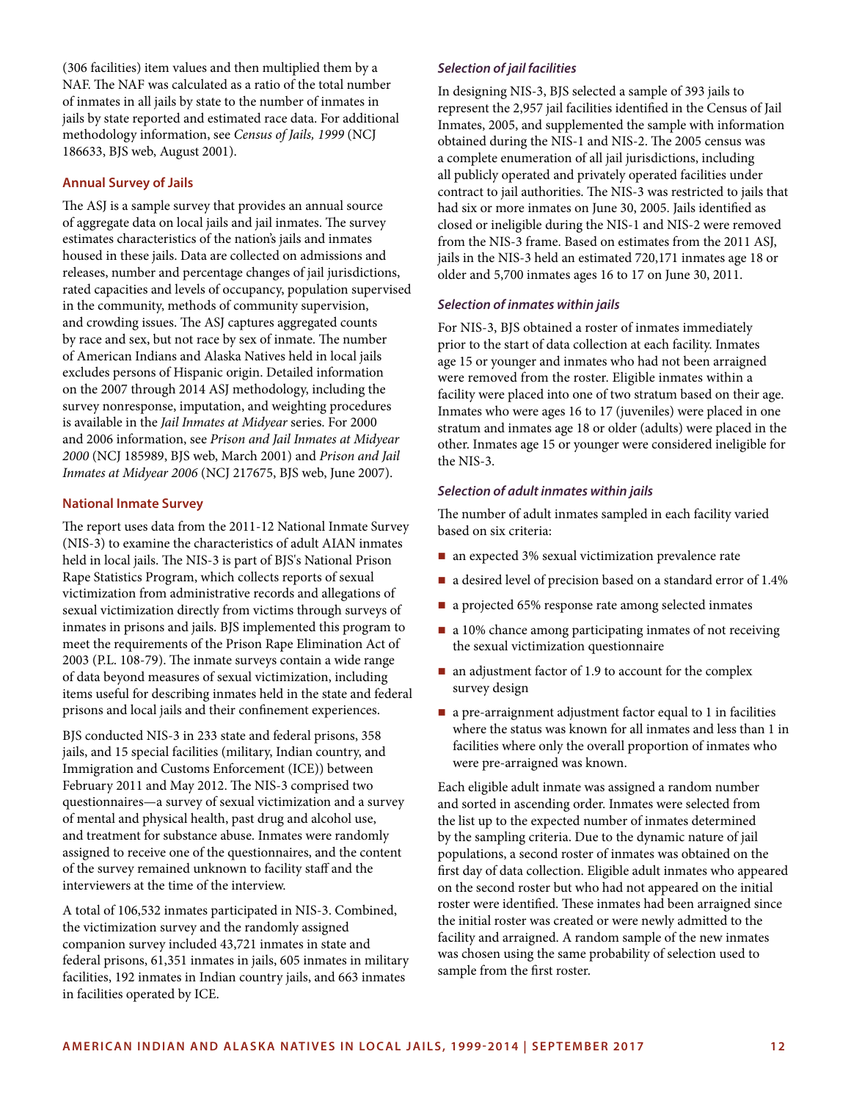(306 facilities) item values and then multiplied them by a NAF. The NAF was calculated as a ratio of the total number of inmates in all jails by state to the number of inmates in jails by state reported and estimated race data. For additional methodology information, see *Census of Jails, 1999* (NCJ 186633, BJS web, August 2001).

# **Annual Survey of Jails**

The ASJ is a sample survey that provides an annual source of aggregate data on local jails and jail inmates. The survey estimates characteristics of the nation's jails and inmates housed in these jails. Data are collected on admissions and releases, number and percentage changes of jail jurisdictions, rated capacities and levels of occupancy, population supervised in the community, methods of community supervision, and crowding issues. The ASJ captures aggregated counts by race and sex, but not race by sex of inmate. The number of American Indians and Alaska Natives held in local jails excludes persons of Hispanic origin. Detailed information on the 2007 through 2014 ASJ methodology, including the survey nonresponse, imputation, and weighting procedures is available in the *Jail Inmates at Midyear* series. For 2000 and 2006 information, see *Prison and Jail Inmates at Midyear 2000* (NCJ 185989, BJS web, March 2001) and *Prison and Jail Inmates at Midyear 2006* (NCJ 217675, BJS web, June 2007).

# **National Inmate Survey**

The report uses data from the 2011-12 National Inmate Survey (NIS-3) to examine the characteristics of adult AIAN inmates held in local jails. The NIS-3 is part of BJS's National Prison Rape Statistics Program, which collects reports of sexual victimization from administrative records and allegations of sexual victimization directly from victims through surveys of inmates in prisons and jails. BJS implemented this program to meet the requirements of the Prison Rape Elimination Act of 2003 (P.L. 108-79). The inmate surveys contain a wide range of data beyond measures of sexual victimization, including items useful for describing inmates held in the state and federal prisons and local jails and their confinement experiences.

BJS conducted NIS-3 in 233 state and federal prisons, 358 jails, and 15 special facilities (military, Indian country, and Immigration and Customs Enforcement (ICE)) between February 2011 and May 2012. The NIS-3 comprised two questionnaires—a survey of sexual victimization and a survey of mental and physical health, past drug and alcohol use, and treatment for substance abuse. Inmates were randomly assigned to receive one of the questionnaires, and the content of the survey remained unknown to facility staff and the interviewers at the time of the interview.

A total of 106,532 inmates participated in NIS-3. Combined, the victimization survey and the randomly assigned companion survey included 43,721 inmates in state and federal prisons, 61,351 inmates in jails, 605 inmates in military facilities, 192 inmates in Indian country jails, and 663 inmates in facilities operated by ICE.

# *Selection of jail facilities*

In designing NIS-3, BJS selected a sample of 393 jails to represent the 2,957 jail facilities identified in the Census of Jail Inmates, 2005, and supplemented the sample with information obtained during the NIS-1 and NIS-2. The 2005 census was a complete enumeration of all jail jurisdictions, including all publicly operated and privately operated facilities under contract to jail authorities. The NIS-3 was restricted to jails that had six or more inmates on June 30, 2005. Jails identified as closed or ineligible during the NIS-1 and NIS-2 were removed from the NIS-3 frame. Based on estimates from the 2011 ASJ, jails in the NIS-3 held an estimated 720,171 inmates age 18 or older and 5,700 inmates ages 16 to 17 on June 30, 2011.

#### *Selection of inmates within jails*

For NIS-3, BJS obtained a roster of inmates immediately prior to the start of data collection at each facility. Inmates age 15 or younger and inmates who had not been arraigned were removed from the roster. Eligible inmates within a facility were placed into one of two stratum based on their age. Inmates who were ages 16 to 17 (juveniles) were placed in one stratum and inmates age 18 or older (adults) were placed in the other. Inmates age 15 or younger were considered ineligible for the NIS-3.

#### *Selection of adult inmates within jails*

The number of adult inmates sampled in each facility varied based on six criteria:

- an expected 3% sexual victimization prevalence rate
- a desired level of precision based on a standard error of 1.4%
- a projected 65% response rate among selected inmates
- a 10% chance among participating inmates of not receiving the sexual victimization questionnaire
- an adjustment factor of 1.9 to account for the complex survey design
- a pre-arraignment adjustment factor equal to 1 in facilities where the status was known for all inmates and less than 1 in facilities where only the overall proportion of inmates who were pre-arraigned was known.

Each eligible adult inmate was assigned a random number and sorted in ascending order. Inmates were selected from the list up to the expected number of inmates determined by the sampling criteria. Due to the dynamic nature of jail populations, a second roster of inmates was obtained on the first day of data collection. Eligible adult inmates who appeared on the second roster but who had not appeared on the initial roster were identified. These inmates had been arraigned since the initial roster was created or were newly admitted to the facility and arraigned. A random sample of the new inmates was chosen using the same probability of selection used to sample from the first roster.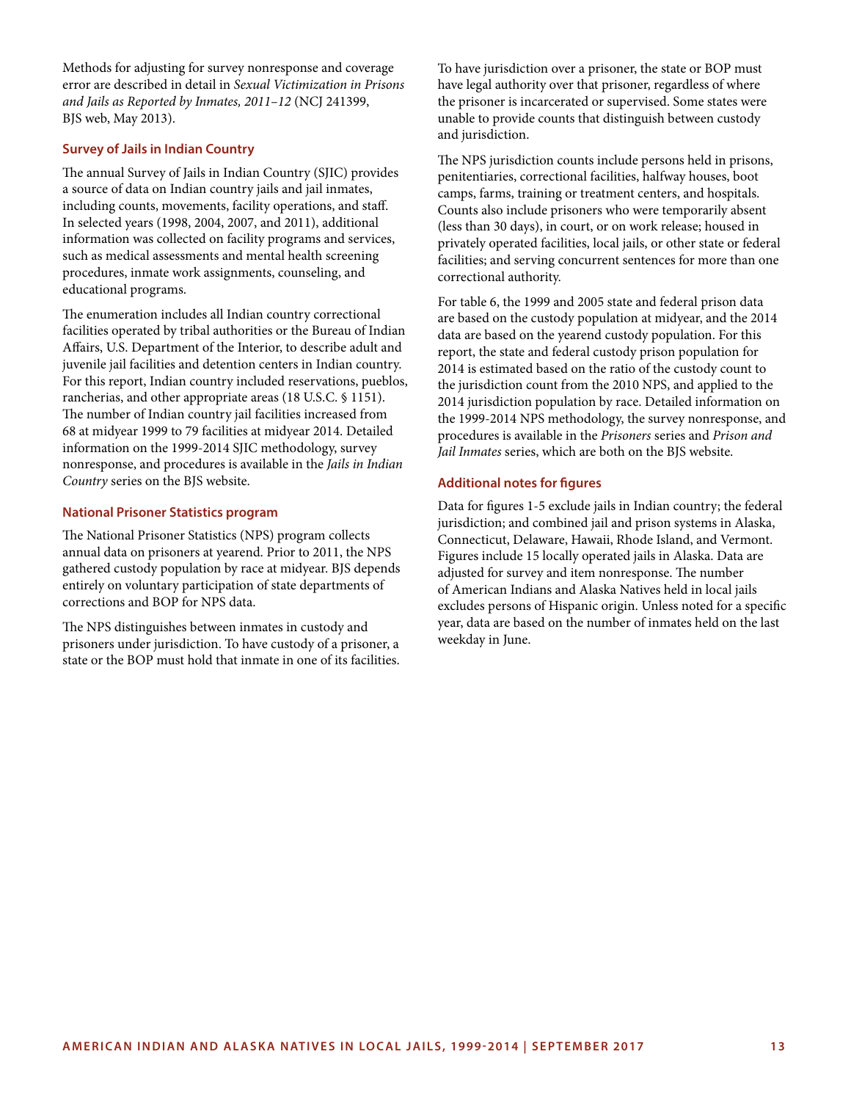Methods for adjusting for survey nonresponse and coverage error are described in detail in *Sexual Victimization in Prisons and Jails as Reported by Inmates, 2011–12* (NCJ 241399, BJS web, May 2013).

## **Survey of Jails in Indian Country**

The annual Survey of Jails in Indian Country (SJIC) provides a source of data on Indian country jails and jail inmates, including counts, movements, facility operations, and staff. In selected years (1998, 2004, 2007, and 2011), additional information was collected on facility programs and services, such as medical assessments and mental health screening procedures, inmate work assignments, counseling, and educational programs.

The enumeration includes all Indian country correctional facilities operated by tribal authorities or the Bureau of Indian Affairs, U.S. Department of the Interior, to describe adult and juvenile jail facilities and detention centers in Indian country. For this report, Indian country included reservations, pueblos, rancherias, and other appropriate areas (18 U.S.C. § 1151). The number of Indian country jail facilities increased from 68 at midyear 1999 to 79 facilities at midyear 2014. Detailed information on the 1999-2014 SJIC methodology, survey nonresponse, and procedures is available in the *Jails in Indian Country* series on the BJS website.

#### **National Prisoner Statistics program**

The National Prisoner Statistics (NPS) program collects annual data on prisoners at yearend. Prior to 2011, the NPS gathered custody population by race at midyear. BJS depends entirely on voluntary participation of state departments of corrections and BOP for NPS data.

The NPS distinguishes between inmates in custody and prisoners under jurisdiction. To have custody of a prisoner, a state or the BOP must hold that inmate in one of its facilities. To have jurisdiction over a prisoner, the state or BOP must have legal authority over that prisoner, regardless of where the prisoner is incarcerated or supervised. Some states were unable to provide counts that distinguish between custody and jurisdiction.

The NPS jurisdiction counts include persons held in prisons, penitentiaries, correctional facilities, halfway houses, boot camps, farms, training or treatment centers, and hospitals. Counts also include prisoners who were temporarily absent (less than 30 days), in court, or on work release; housed in privately operated facilities, local jails, or other state or federal facilities; and serving concurrent sentences for more than one correctional authority.

For table 6, the 1999 and 2005 state and federal prison data are based on the custody population at midyear, and the 2014 data are based on the yearend custody population. For this report, the state and federal custody prison population for 2014 is estimated based on the ratio of the custody count to the jurisdiction count from the 2010 NPS, and applied to the 2014 jurisdiction population by race. Detailed information on the 1999-2014 NPS methodology, the survey nonresponse, and procedures is available in the *Prisoners* series and *Prison and Jail Inmates* series, which are both on the BJS website.

#### **Additional notes for figures**

Data for figures 1-5 exclude jails in Indian country; the federal jurisdiction; and combined jail and prison systems in Alaska, Connecticut, Delaware, Hawaii, Rhode Island, and Vermont. Figures include 15 locally operated jails in Alaska. Data are adjusted for survey and item nonresponse. The number of American Indians and Alaska Natives held in local jails excludes persons of Hispanic origin. Unless noted for a specific year, data are based on the number of inmates held on the last weekday in June.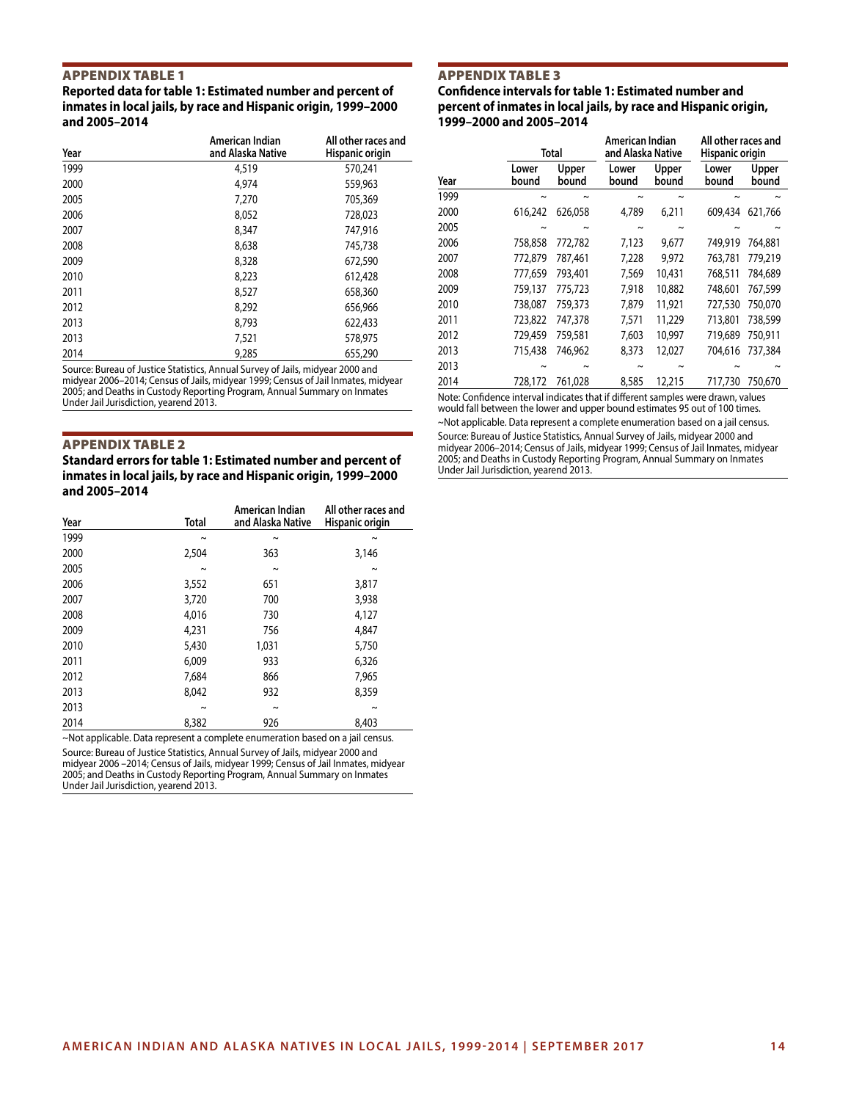#### Appendix Table 1

**Reported data for table 1: Estimated number and percent of inmates in local jails, by race and Hispanic origin, 1999–2000 and 2005–2014**

| Year | American Indian<br>and Alaska Native | All other races and<br>Hispanic origin |
|------|--------------------------------------|----------------------------------------|
| 1999 | 4,519                                | 570,241                                |
| 2000 | 4,974                                | 559,963                                |
| 2005 | 7,270                                | 705,369                                |
| 2006 | 8.052                                | 728,023                                |
| 2007 | 8,347                                | 747,916                                |
| 2008 | 8,638                                | 745,738                                |
| 2009 | 8,328                                | 672,590                                |
| 2010 | 8,223                                | 612,428                                |
| 2011 | 8,527                                | 658,360                                |
| 2012 | 8,292                                | 656,966                                |
| 2013 | 8.793                                | 622,433                                |
| 2013 | 7,521                                | 578,975                                |
| 2014 | 9,285                                | 655,290                                |

Source: Bureau of Justice Statistics, Annual Survey of Jails, midyear 2000 and midyear 2006–2014; Census of Jails, midyear 1999; Census of Jail Inmates, midyear 2005; and Deaths in Custody Reporting Program, Annual Summary on Inmates Under Jail Jurisdiction, yearend 2013.

#### Appendix Table 2

**Standard errors for table 1: Estimated number and percent of inmates in local jails, by race and Hispanic origin, 1999–2000 and 2005–2014**

| Year | Total      | American Indian<br>and Alaska Native | All other races and<br>Hispanic origin |
|------|------------|--------------------------------------|----------------------------------------|
| 1999 | $\tilde{}$ | $\tilde{}$                           | ົ                                      |
| 2000 | 2,504      | 363                                  | 3,146                                  |
| 2005 | $\tilde{}$ | $\sim$                               | $\tilde{}$                             |
| 2006 | 3,552      | 651                                  | 3,817                                  |
| 2007 | 3,720      | 700                                  | 3,938                                  |
| 2008 | 4,016      | 730                                  | 4,127                                  |
| 2009 | 4,231      | 756                                  | 4,847                                  |
| 2010 | 5,430      | 1,031                                | 5,750                                  |
| 2011 | 6,009      | 933                                  | 6,326                                  |
| 2012 | 7,684      | 866                                  | 7,965                                  |
| 2013 | 8.042      | 932                                  | 8,359                                  |
| 2013 | $\tilde{}$ | $\sim$                               | $\tilde{}$                             |
| 2014 | 8,382      | 926                                  | 8,403                                  |

~Not applicable. Data represent a complete enumeration based on a jail census. Source: Bureau of Justice Statistics, Annual Survey of Jails, midyear 2000 and midyear 2006 –2014; Census of Jails, midyear 1999; Census of Jail Inmates, midyear 2005; and Deaths in Custody Reporting Program, Annual Summary on Inmates Under Jail Jurisdiction, yearend 2013.

#### Appendix Table 3

**Confidence intervals for table 1: Estimated number and percent of inmates in local jails, by race and Hispanic origin, 1999–2000 and 2005–2014**

|      |                | Total          | American Indian<br>and Alaska Native |                | All other races and<br>Hispanic origin |                |
|------|----------------|----------------|--------------------------------------|----------------|----------------------------------------|----------------|
| Year | Lower<br>bound | Upper<br>bound | Lower<br>bound                       | Upper<br>bound | Lower<br>bound                         | Upper<br>bound |
| 1999 | $\sim$         | $\sim$         | $\sim$                               | $\sim$         | ∼                                      | $\sim$         |
| 2000 | 616,242        | 626,058        | 4,789                                | 6,211          | 609,434                                | 621,766        |
| 2005 | $\sim$         | $\sim$         | $\tilde{\phantom{a}}$                | $\tilde{}$     | $\sim$                                 |                |
| 2006 | 758,858        | 772,782        | 7,123                                | 9,677          | 749,919                                | 764,881        |
| 2007 | 772,879        | 787,461        | 7,228                                | 9.972          | 763.781                                | 779,219        |
| 2008 | 777,659        | 793,401        | 7,569                                | 10,431         | 768,511                                | 784,689        |
| 2009 | 759,137        | 775,723        | 7,918                                | 10,882         | 748,601                                | 767,599        |
| 2010 | 738,087        | 759,373        | 7,879                                | 11,921         | 727,530                                | 750,070        |
| 2011 | 723,822        | 747,378        | 7,571                                | 11,229         | 713,801                                | 738,599        |
| 2012 | 729,459        | 759,581        | 7,603                                | 10,997         | 719,689                                | 750,911        |
| 2013 | 715,438        | 746.962        | 8,373                                | 12,027         | 704,616                                | 737,384        |
| 2013 | $\sim$         | $\sim$         | $\tilde{\phantom{a}}$                | $\tilde{}$     | $\sim$                                 |                |
| 2014 | 728,172        | 761.028        | 8,585                                | 12,215         | 717.730                                | 750,670        |

Note: Confidence interval indicates that if different samples were drawn, values would fall between the lower and upper bound estimates 95 out of 100 times.

~Not applicable. Data represent a complete enumeration based on a jail census. Source: Bureau of Justice Statistics, Annual Survey of Jails, midyear 2000 and midyear 2006–2014; Census of Jails, midyear 1999; Census of Jail Inmates, midyear 2005; and Deaths in Custody Reporting Program, Annual Summary on Inmates Under Jail Jurisdiction, yearend 2013.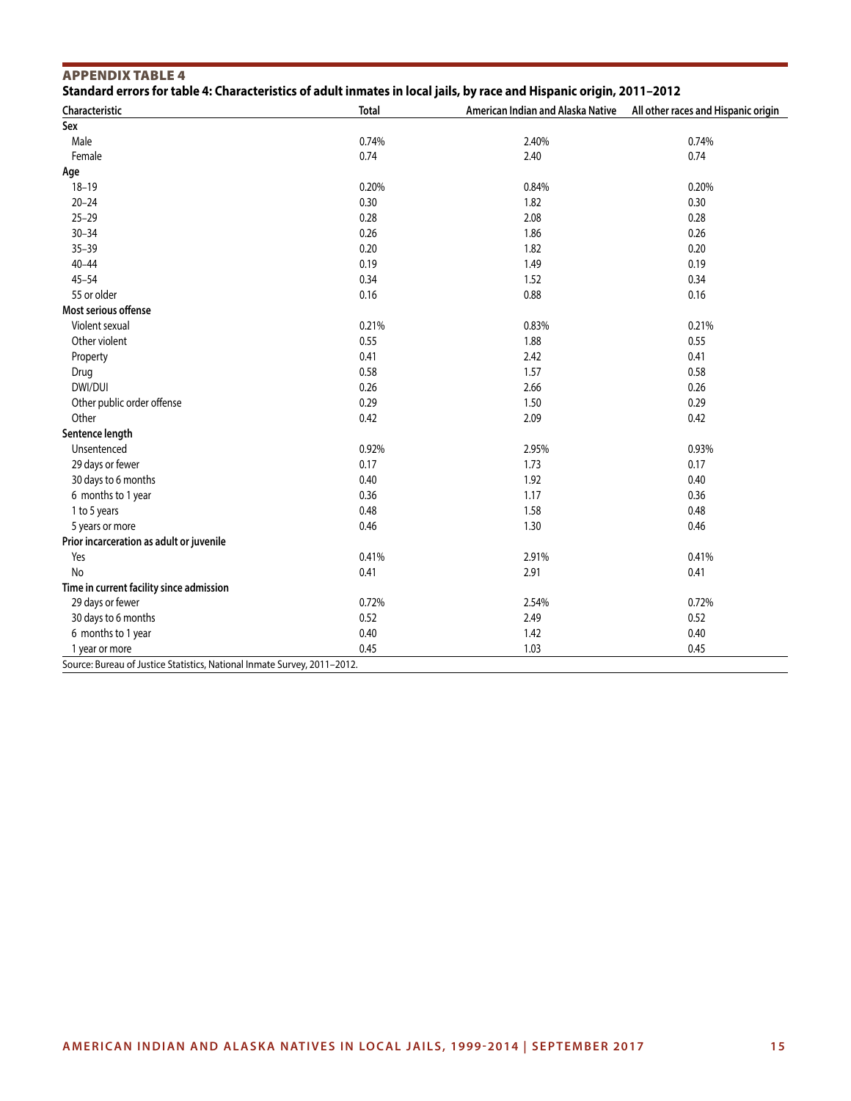| Standard errors for table 4: Characteristics of adult inmates in local jails, by race and Hispanic origin, 2011-2012<br>Characteristic | <b>Total</b> | American Indian and Alaska Native | All other races and Hispanic origin |
|----------------------------------------------------------------------------------------------------------------------------------------|--------------|-----------------------------------|-------------------------------------|
| Sex                                                                                                                                    |              |                                   |                                     |
| Male                                                                                                                                   | 0.74%        | 2.40%                             | 0.74%                               |
| Female                                                                                                                                 | 0.74         | 2.40                              | 0.74                                |
| Age                                                                                                                                    |              |                                   |                                     |
| $18 - 19$                                                                                                                              | 0.20%        | 0.84%                             | 0.20%                               |
| $20 - 24$                                                                                                                              | 0.30         | 1.82                              | 0.30                                |
| $25 - 29$                                                                                                                              | 0.28         | 2.08                              | 0.28                                |
| $30 - 34$                                                                                                                              | 0.26         | 1.86                              | 0.26                                |
| $35 - 39$                                                                                                                              | 0.20         | 1.82                              | 0.20                                |
| $40 - 44$                                                                                                                              | 0.19         | 1.49                              | 0.19                                |
| $45 - 54$                                                                                                                              | 0.34         | 1.52                              | 0.34                                |
| 55 or older                                                                                                                            | 0.16         | 0.88                              | 0.16                                |
| Most serious offense                                                                                                                   |              |                                   |                                     |
| Violent sexual                                                                                                                         | 0.21%        | 0.83%                             | 0.21%                               |
| Other violent                                                                                                                          | 0.55         | 1.88                              | 0.55                                |
| Property                                                                                                                               | 0.41         | 2.42                              | 0.41                                |
| Drug                                                                                                                                   | 0.58         | 1.57                              | 0.58                                |
| DWI/DUI                                                                                                                                | 0.26         | 2.66                              | 0.26                                |
| Other public order offense                                                                                                             | 0.29         | 1.50                              | 0.29                                |
| Other                                                                                                                                  | 0.42         | 2.09                              | 0.42                                |
| Sentence length                                                                                                                        |              |                                   |                                     |
| Unsentenced                                                                                                                            | 0.92%        | 2.95%                             | 0.93%                               |
| 29 days or fewer                                                                                                                       | 0.17         | 1.73                              | 0.17                                |
| 30 days to 6 months                                                                                                                    | 0.40         | 1.92                              | 0.40                                |
| 6 months to 1 year                                                                                                                     | 0.36         | 1.17                              | 0.36                                |
| 1 to 5 years                                                                                                                           | 0.48         | 1.58                              | 0.48                                |
|                                                                                                                                        | 0.46         | 1.30                              | 0.46                                |
| 5 years or more<br>Prior incarceration as adult or juvenile                                                                            |              |                                   |                                     |
| Yes                                                                                                                                    | 0.41%        | 2.91%                             | 0.41%                               |
| No                                                                                                                                     | 0.41         | 2.91                              | 0.41                                |
| Time in current facility since admission                                                                                               |              |                                   |                                     |
|                                                                                                                                        | 0.72%        | 2.54%                             | 0.72%                               |
| 29 days or fewer<br>30 days to 6 months                                                                                                |              |                                   |                                     |
|                                                                                                                                        | 0.52<br>0.40 | 2.49                              | 0.52<br>0.40                        |
| 6 months to 1 year                                                                                                                     | 0.45         | 1.42<br>1.03                      | 0.45                                |
| 1 year or more<br>Source: Bureau of Justice Statistics, National Inmate Survey, 2011-2012.                                             |              |                                   |                                     |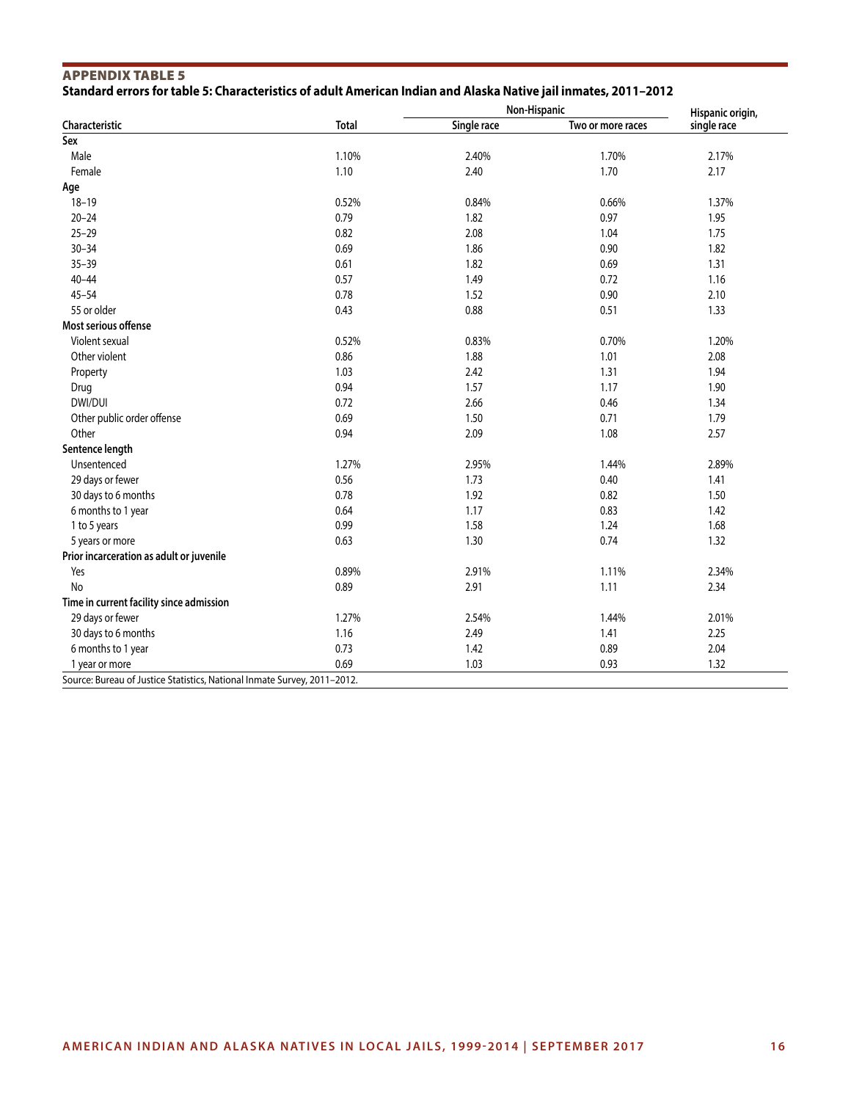| <b>APPENDIX TABLE 5</b>                                                                                         |  |  |  |
|-----------------------------------------------------------------------------------------------------------------|--|--|--|
| Standard errors for table 5: Characteristics of adult American Indian and Alaska Native jail inmates, 2011–2012 |  |  |  |

| Characteristic                           | <b>Total</b> | Non-Hispanic |                   | Hispanic origin, |
|------------------------------------------|--------------|--------------|-------------------|------------------|
|                                          |              | Single race  | Two or more races | single race      |
| Sex                                      |              |              |                   |                  |
| Male                                     | 1.10%        | 2.40%        | 1.70%             | 2.17%            |
| Female                                   | 1.10         | 2.40         | 1.70              | 2.17             |
| Age                                      |              |              |                   |                  |
| $18 - 19$                                | 0.52%        | 0.84%        | 0.66%             | 1.37%            |
| $20 - 24$                                | 0.79         | 1.82         | 0.97              | 1.95             |
| $25 - 29$                                | 0.82         | 2.08         | 1.04              | 1.75             |
| $30 - 34$                                | 0.69         | 1.86         | 0.90              | 1.82             |
| $35 - 39$                                | 0.61         | 1.82         | 0.69              | 1.31             |
| $40 - 44$                                | 0.57         | 1.49         | 0.72              | 1.16             |
| $45 - 54$                                | 0.78         | 1.52         | 0.90              | 2.10             |
| 55 or older                              | 0.43         | 0.88         | 0.51              | 1.33             |
| Most serious offense                     |              |              |                   |                  |
| Violent sexual                           | 0.52%        | 0.83%        | 0.70%             | 1.20%            |
| Other violent                            | 0.86         | 1.88         | 1.01              | 2.08             |
| Property                                 | 1.03         | 2.42         | 1.31              | 1.94             |
| Drug                                     | 0.94         | 1.57         | 1.17              | 1.90             |
| DWI/DUI                                  | 0.72         | 2.66         | 0.46              | 1.34             |
| Other public order offense               | 0.69         | 1.50         | 0.71              | 1.79             |
| Other                                    | 0.94         | 2.09         | 1.08              | 2.57             |
| Sentence length                          |              |              |                   |                  |
| Unsentenced                              | 1.27%        | 2.95%        | 1.44%             | 2.89%            |
| 29 days or fewer                         | 0.56         | 1.73         | 0.40              | 1.41             |
| 30 days to 6 months                      | 0.78         | 1.92         | 0.82              | 1.50             |
| 6 months to 1 year                       | 0.64         | 1.17         | 0.83              | 1.42             |
| 1 to 5 years                             | 0.99         | 1.58         | 1.24              | 1.68             |
| 5 years or more                          | 0.63         | 1.30         | 0.74              | 1.32             |
| Prior incarceration as adult or juvenile |              |              |                   |                  |
| Yes                                      | 0.89%        | 2.91%        | 1.11%             | 2.34%            |
| <b>No</b>                                | 0.89         | 2.91         | 1.11              | 2.34             |
| Time in current facility since admission |              |              |                   |                  |
| 29 days or fewer                         | 1.27%        | 2.54%        | 1.44%             | 2.01%            |
| 30 days to 6 months                      | 1.16         | 2.49         | 1.41              | 2.25             |
| 6 months to 1 year                       | 0.73         | 1.42         | 0.89              | 2.04             |
| 1 year or more                           | 0.69         | 1.03         | 0.93              | 1.32             |